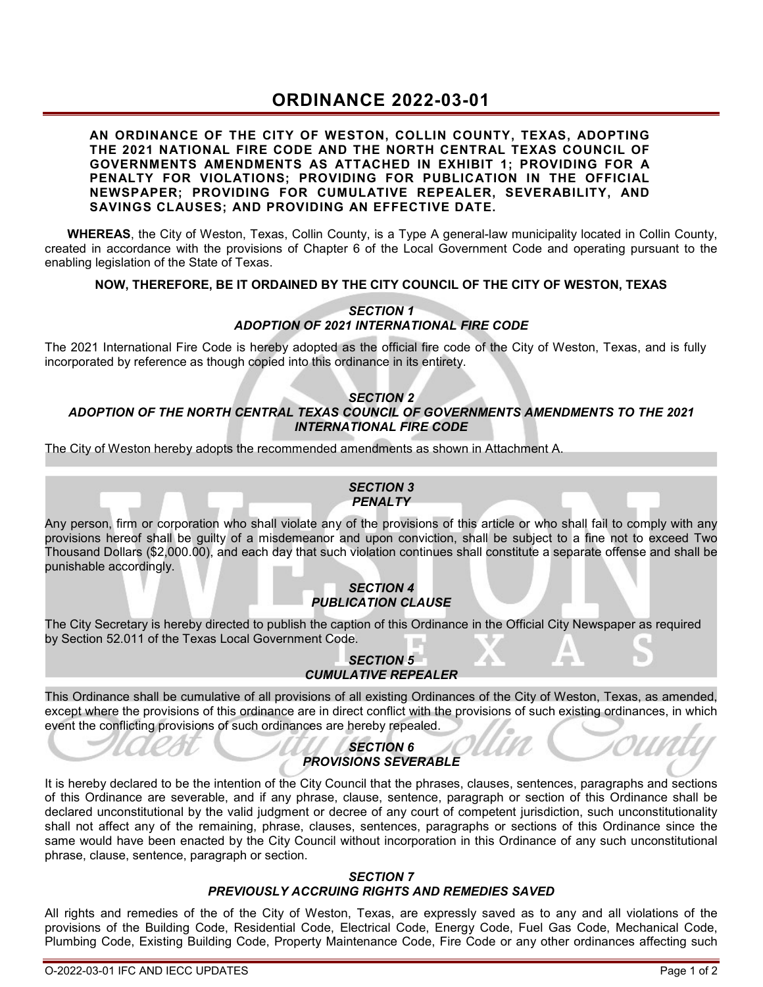# **ORDINANCE 2022-03-01**

#### **AN ORDINANCE OF THE CITY OF WESTON, COLLIN COUNTY, TEXAS, ADOPTING THE 2021 NATIONAL FIRE CODE AND THE NORTH CENTRAL TEXAS COUNCIL OF GOVERNMENTS AMENDMENTS AS ATTACHED IN EXHIBIT 1; PROVIDING FOR A PENALTY FOR VIOLATIONS; PROVIDING FOR PUBLICATION IN THE OFFICIAL NEWSPAPER; PROVIDING FOR CUMULATIVE REPEALER, SEVERABILITY, AND SAVINGS CLAUSES; AND PROVIDING AN EFFECTIVE DATE.**

**WHEREAS**, the City of Weston, Texas, Collin County, is a Type A general-law municipality located in Collin County, created in accordance with the provisions of Chapter 6 of the Local Government Code and operating pursuant to the enabling legislation of the State of Texas.

### **NOW, THEREFORE, BE IT ORDAINED BY THE CITY COUNCIL OF THE CITY OF WESTON, TEXAS**

### *SECTION 1 ADOPTION OF 2021 INTERNATIONAL FIRE CODE*

The 2021 International Fire Code is hereby adopted as the official fire code of the City of Weston, Texas, and is fully incorporated by reference as though copied into this ordinance in its entirety.

#### *SECTION 2 ADOPTION OF THE NORTH CENTRAL TEXAS COUNCIL OF GOVERNMENTS AMENDMENTS TO THE 2021 INTERNATIONAL FIRE CODE*

The City of Weston hereby adopts the recommended amendments as shown in Attachment A.

#### *SECTION 3 PENALTY*

Any person, firm or corporation who shall violate any of the provisions of this article or who shall fail to comply with any provisions hereof shall be guilty of a misdemeanor and upon conviction, shall be subject to a fine not to exceed Two Thousand Dollars (\$2,000.00), and each day that such violation continues shall constitute a separate offense and shall be punishable accordingly.

### *SECTION 4 PUBLICATION CLAUSE*

The City Secretary is hereby directed to publish the caption of this Ordinance in the Official City Newspaper as required by Section 52.011 of the Texas Local Government Code.

# *SECTION 5 CUMULATIVE REPEALER*

This Ordinance shall be cumulative of all provisions of all existing Ordinances of the City of Weston, Texas, as amended, except where the provisions of this ordinance are in direct conflict with the provisions of such existing ordinances, in which event the conflicting provisions of such ordinances are hereby repealed.

### *SECTION 6 PROVISIONS SEVERABLE*

It is hereby declared to be the intention of the City Council that the phrases, clauses, sentences, paragraphs and sections of this Ordinance are severable, and if any phrase, clause, sentence, paragraph or section of this Ordinance shall be declared unconstitutional by the valid judgment or decree of any court of competent jurisdiction, such unconstitutionality shall not affect any of the remaining, phrase, clauses, sentences, paragraphs or sections of this Ordinance since the same would have been enacted by the City Council without incorporation in this Ordinance of any such unconstitutional phrase, clause, sentence, paragraph or section.

#### *SECTION 7 PREVIOUSLY ACCRUING RIGHTS AND REMEDIES SAVED*

All rights and remedies of the of the City of Weston, Texas, are expressly saved as to any and all violations of the provisions of the Building Code, Residential Code, Electrical Code, Energy Code, Fuel Gas Code, Mechanical Code, Plumbing Code, Existing Building Code, Property Maintenance Code, Fire Code or any other ordinances affecting such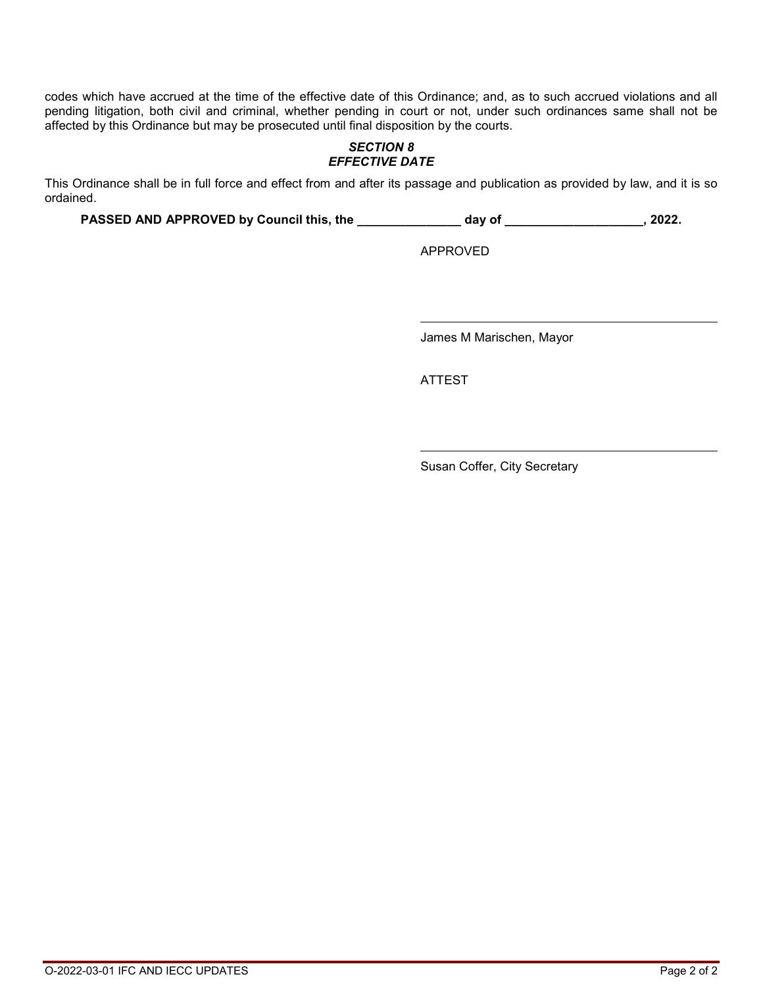codes which have accrued at the time of the effective date of this Ordinance; and, as to such accrued violations and all pending litigation, both civil and criminal, whether pending in court or not, under such ordinances same shall not be affected by this Ordinance but may be prosecuted until final disposition by the courts.

# *SECTION 8 EFFECTIVE DATE*

This Ordinance shall be in full force and effect from and after its passage and publication as provided by law, and it is so ordained.

**PASSED AND APPROVED by Council this, the \_\_\_\_\_\_\_\_\_\_\_\_\_\_\_ day of \_\_\_\_\_\_\_\_\_\_\_\_\_\_\_\_\_\_\_\_, 2022.** 

APPROVED

James M Marischen, Mayor

ATTEST

Susan Coffer, City Secretary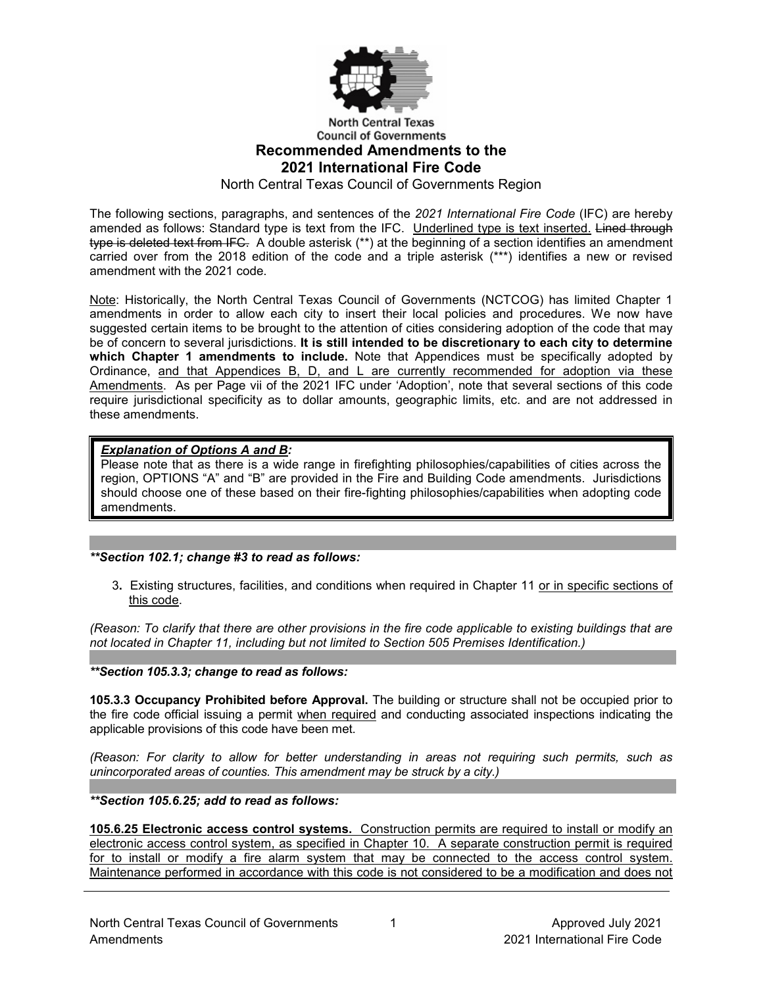

# **North Central Texas Council of Governments Recommended Amendments to the 2021 International Fire Code**

North Central Texas Council of Governments Region

The following sections, paragraphs, and sentences of the *2021 International Fire Code* (IFC) are hereby amended as follows: Standard type is text from the IFC. Underlined type is text inserted. Lined through <del>type is deleted text from IFC.</del> A double asterisk (\*\*) at the beginning of a section identifies an amendment i carried over from the 2018 edition of the code and a triple asterisk (\*\*\*) identifies a new or revised amendment with the 2021 code.

Note: Historically, the North Central Texas Council of Governments (NCTCOG) has limited Chapter 1 amendments in order to allow each city to insert their local policies and procedures. We now have suggested certain items to be brought to the attention of cities considering adoption of the code that may be of concern to several jurisdictions. **It is still intended to be discretionary to each city to determine which Chapter 1 amendments to include.** Note that Appendices must be specifically adopted by Ordinance, and that Appendices B, D, and L are currently recommended for adoption via these Amendments. As per Page vii of the 2021 IFC under 'Adoption', note that several sections of this code require jurisdictional specificity as to dollar amounts, geographic limits, etc. and are not addressed in these amendments.

### *Explanation of Options A and B:*

Please note that as there is a wide range in firefighting philosophies/capabilities of cities across the region, OPTIONS "A" and "B" are provided in the Fire and Building Code amendments. Jurisdictions should choose one of these based on their fire-fighting philosophies/capabilities when adopting code amendments.

#### *\*\*Section 102.1; change #3 to read as follows:*

3**.** Existing structures, facilities, and conditions when required in Chapter 11 or in specific sections of this code.

*(Reason: To clarify that there are other provisions in the fire code applicable to existing buildings that are not located in Chapter 11, including but not limited to Section 505 Premises Identification.)*

*\*\*Section 105.3.3; change to read as follows:*

**105.3.3 Occupancy Prohibited before Approval.** The building or structure shall not be occupied prior to the fire code official issuing a permit when required and conducting associated inspections indicating the applicable provisions of this code have been met.

*(Reason: For clarity to allow for better understanding in areas not requiring such permits, such as unincorporated areas of counties. This amendment may be struck by a city.)*

### *\*\*Section 105.6.25; add to read as follows:*

**105.6.25 Electronic access control systems.** Construction permits are required to install or modify an electronic access control system, as specified in Chapter 10. A separate construction permit is required for to install or modify a fire alarm system that may be connected to the access control system. Maintenance performed in accordance with this code is not considered to be a modification and does not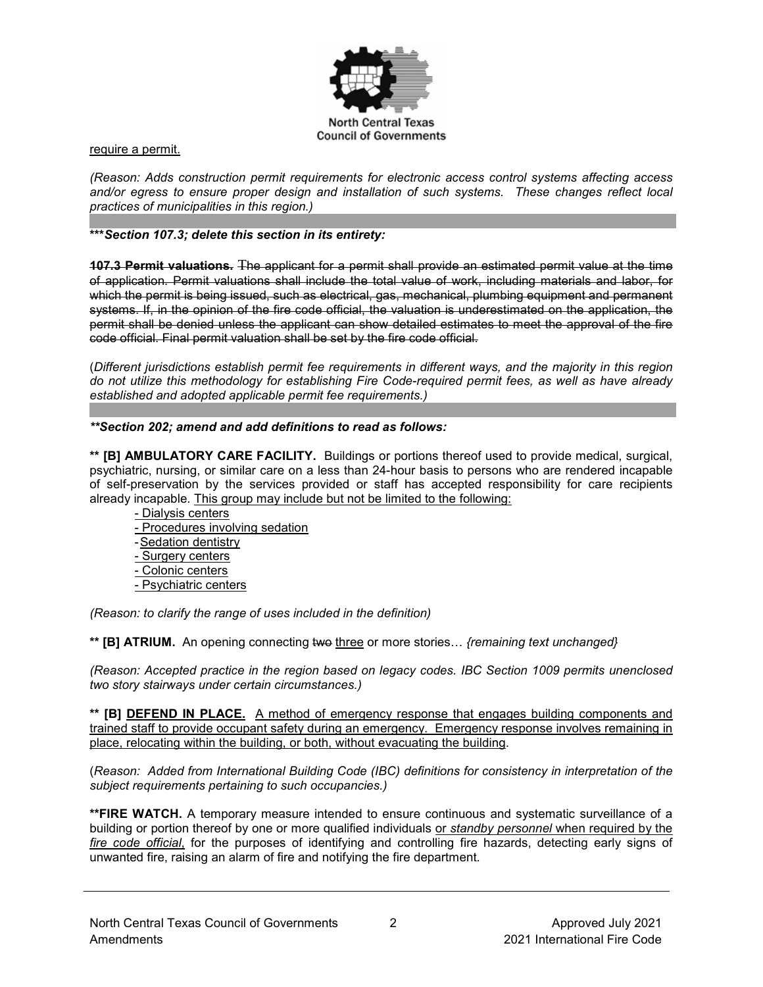

require a permit.

*(Reason: Adds construction permit requirements for electronic access control systems affecting access and/or egress to ensure proper design and installation of such systems. These changes reflect local practices of municipalities in this region.)*

### **\*\*\****Section 107.3; delete this section in its entirety:*

**107.3 Permit valuations.** The applicant for a permit shall provide an estimated permit value at the time of application. Permit valuations shall include the total value of work, including materials and labor, for which the permit is being issued, such as electrical, gas, mechanical, plumbing equipment and permanent systems. If, in the opinion of the fire code official, the valuation is underestimated on the application, the permit shall be denied unless the applicant can show detailed estimates to meet the approval of the fire code official. Final permit valuation shall be set by the fire code official.

(*Different jurisdictions establish permit fee requirements in different ways, and the majority in this region do not utilize this methodology for establishing Fire Code-required permit fees, as well as have already established and adopted applicable permit fee requirements.)*

#### *\*\*Section 202; amend and add definitions to read as follows:*

**\*\* [B] AMBULATORY CARE FACILITY.** Buildings or portions thereof used to provide medical, surgical, psychiatric, nursing, or similar care on a less than 24-hour basis to persons who are rendered incapable of self-preservation by the services provided or staff has accepted responsibility for care recipients already incapable. This group may include but not be limited to the following:

- Dialysis centers
- Procedures involving sedation
- -Sedation dentistry
- Surgery centers
- Colonic centers
- Psychiatric centers

*(Reason: to clarify the range of uses included in the definition)*

**\*\* [B] ATRIUM.** An opening connecting two three or more stories… *{remaining text unchanged}*

*(Reason: Accepted practice in the region based on legacy codes. IBC Section 1009 permits unenclosed two story stairways under certain circumstances.)* 

**\*\* [B] DEFEND IN PLACE.** A method of emergency response that engages building components and trained staff to provide occupant safety during an emergency. Emergency response involves remaining in place, relocating within the building, or both, without evacuating the building.

(*Reason: Added from International Building Code (IBC) definitions for consistency in interpretation of the subject requirements pertaining to such occupancies.)*

**\*\*FIRE WATCH.** A temporary measure intended to ensure continuous and systematic surveillance of a building or portion thereof by one or more qualified individuals or *standby personnel* when required by the *fire code official*, for the purposes of identifying and controlling fire hazards, detecting early signs of unwanted fire, raising an alarm of fire and notifying the fire department.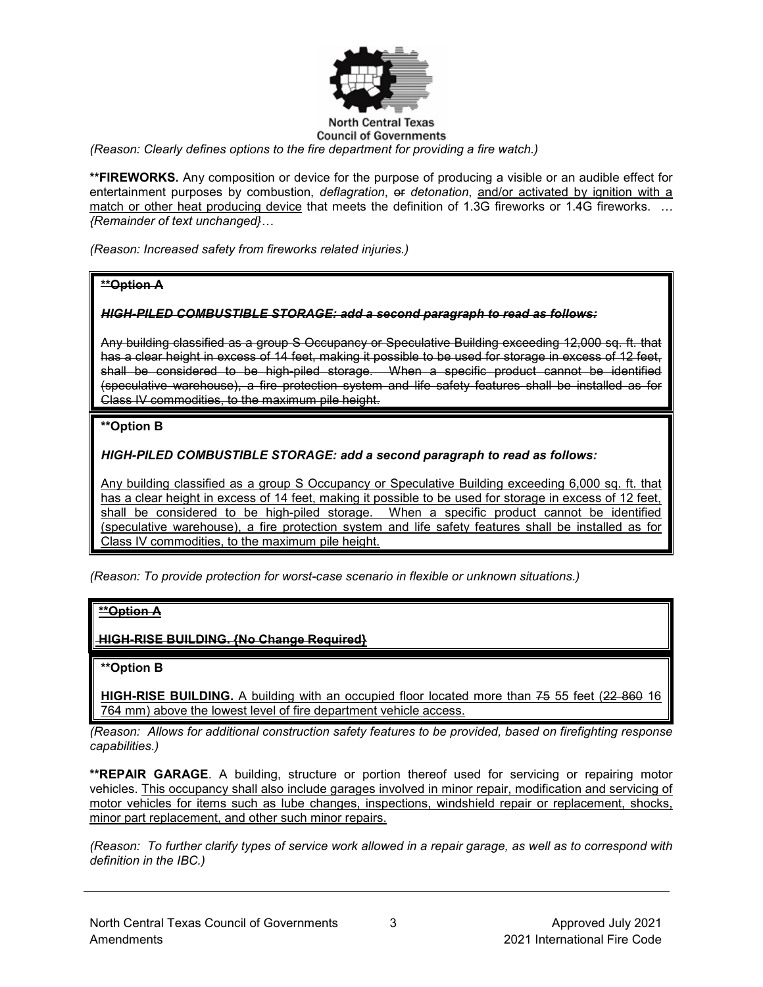

#### **North Central Texas Council of Governments**

*(Reason: Clearly defines options to the fire department for providing a fire watch.)*

**\*\*FIREWORKS.** Any composition or device for the purpose of producing a visible or an audible effect for entertainment purposes by combustion, *deflagration*, or *detonation*, and/or activated by ignition with a match or other heat producing device that meets the definition of 1.3G fireworks or 1.4G fireworks. *… {Remainder of text unchanged}…*

*(Reason: Increased safety from fireworks related injuries.)*

### **\*\*Option A**

### *HIGH-PILED COMBUSTIBLE STORAGE: add a second paragraph to read as follows:*

Any building classified as a group S Occupancy or Speculative Building exceeding 12,000 sq. ft. that has a clear height in excess of 14 feet, making it possible to be used for storage in excess of 12 feet, shall be considered to be high-piled storage. When a specific product cannot be identified (speculative warehouse), a fire protection system and life safety features shall be installed as for Class IV commodities, to the maximum pile height.

# **\*\*Option B**

### *HIGH-PILED COMBUSTIBLE STORAGE: add a second paragraph to read as follows:*

Any building classified as a group S Occupancy or Speculative Building exceeding 6,000 sq. ft. that has a clear height in excess of 14 feet, making it possible to be used for storage in excess of 12 feet, shall be considered to be high-piled storage. When a specific product cannot be identified (speculative warehouse), a fire protection system and life safety features shall be installed as for Class IV commodities, to the maximum pile height.

*(Reason: To provide protection for worst-case scenario in flexible or unknown situations.)*

### **\*\*Option A**

**HIGH-RISE BUILDING. {No Change Required}** 

### **\*\*Option B**

**HIGH-RISE BUILDING.** A building with an occupied floor located more than 75 55 feet (22 860 16 764 mm) above the lowest level of fire department vehicle access.

*(Reason: Allows for additional construction safety features to be provided, based on firefighting response capabilities.)*

**\*\*REPAIR GARAGE**. A building, structure or portion thereof used for servicing or repairing motor vehicles. This occupancy shall also include garages involved in minor repair, modification and servicing of motor vehicles for items such as lube changes, inspections, windshield repair or replacement, shocks, minor part replacement, and other such minor repairs.

*(Reason: To further clarify types of service work allowed in a repair garage, as well as to correspond with definition in the IBC.)*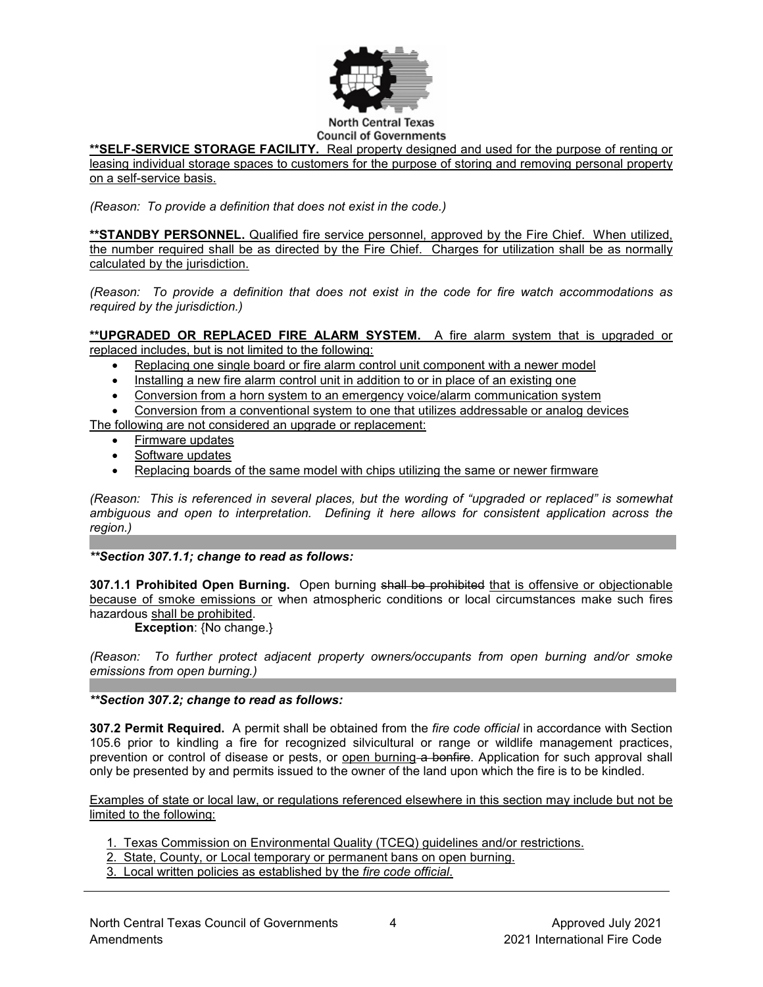

### **\*\*SELF-SERVICE STORAGE FACILITY.** Real property designed and used for the purpose of renting or

leasing individual storage spaces to customers for the purpose of storing and removing personal property on a self-service basis.

*(Reason: To provide a definition that does not exist in the code.)*

**\*\*STANDBY PERSONNEL.** Qualified fire service personnel, approved by the Fire Chief. When utilized, the number required shall be as directed by the Fire Chief. Charges for utilization shall be as normally calculated by the jurisdiction.

*(Reason: To provide a definition that does not exist in the code for fire watch accommodations as required by the jurisdiction.)*

**\*\*UPGRADED OR REPLACED FIRE ALARM SYSTEM.** A fire alarm system that is upgraded or replaced includes, but is not limited to the following:

- Replacing one single board or fire alarm control unit component with a newer model
- Installing a new fire alarm control unit in addition to or in place of an existing one
- Conversion from a horn system to an emergency voice/alarm communication system

• Conversion from a conventional system to one that utilizes addressable or analog devices The following are not considered an upgrade or replacement:

- Firmware updates
- Software updates
- Replacing boards of the same model with chips utilizing the same or newer firmware

*(Reason: This is referenced in several places, but the wording of "upgraded or replaced" is somewhat ambiguous and open to interpretation. Defining it here allows for consistent application across the region.)*

*\*\*Section 307.1.1; change to read as follows:*

**307.1.1 Prohibited Open Burning.** Open burning shall be prohibited that is offensive or objectionable because of smoke emissions or when atmospheric conditions or local circumstances make such fires hazardous shall be prohibited.

**Exception**: {No change.}

*(Reason: To further protect adjacent property owners/occupants from open burning and/or smoke emissions from open burning.)*

*\*\*Section 307.2; change to read as follows:*

**307.2 Permit Required.** A permit shall be obtained from the *fire code official* in accordance with Section 105.6 prior to kindling a fire for recognized silvicultural or range or wildlife management practices, prevention or control of disease or pests, or open burning a bonfire. Application for such approval shall only be presented by and permits issued to the owner of the land upon which the fire is to be kindled.

Examples of state or local law, or regulations referenced elsewhere in this section may include but not be limited to the following:

- 1. Texas Commission on Environmental Quality (TCEQ) guidelines and/or restrictions.
- 2. State, County, or Local temporary or permanent bans on open burning.
- 3. Local written policies as established by the *fire code official*.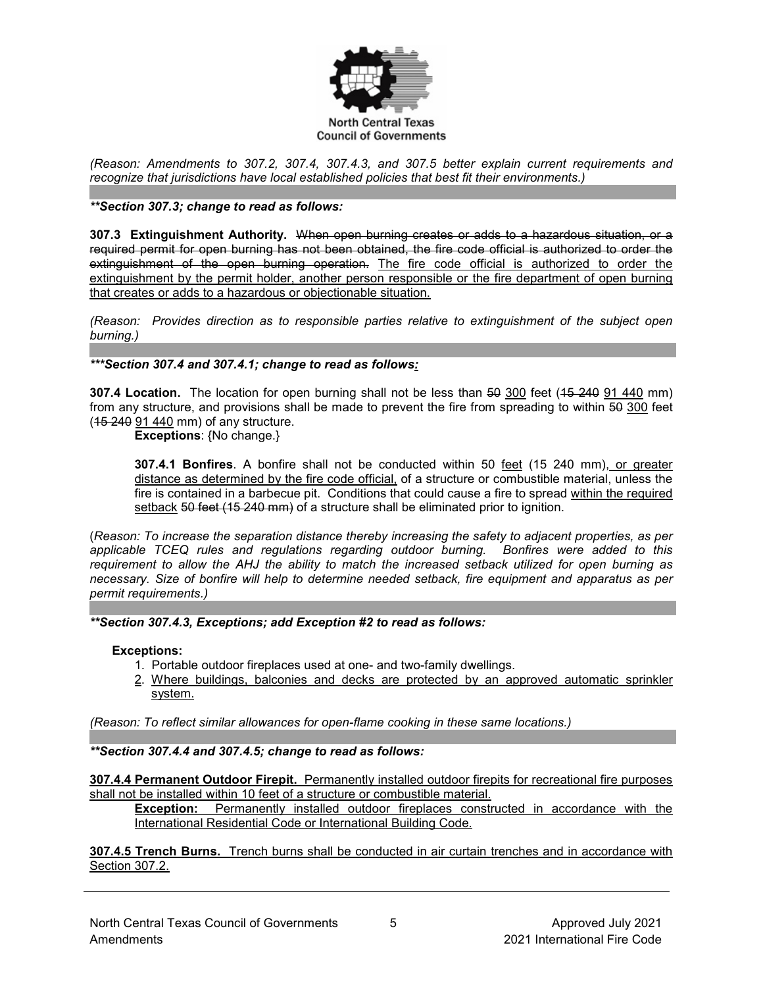

*(Reason: Amendments to 307.2, 307.4, 307.4.3, and 307.5 better explain current requirements and recognize that jurisdictions have local established policies that best fit their environments.)*

#### *\*\*Section 307.3; change to read as follows:*

**307.3 Extinguishment Authority.** When open burning creates or adds to a hazardous situation, or a required permit for open burning has not been obtained, the fire code official is authorized to order the extinguishment of the open burning operation. The fire code official is authorized to order the extinguishment by the permit holder, another person responsible or the fire department of open burning that creates or adds to a hazardous or objectionable situation.

*(Reason: Provides direction as to responsible parties relative to extinguishment of the subject open burning.)*

### *\*\*\*Section 307.4 and 307.4.1; change to read as follows:*

**307.4 Location.** The location for open burning shall not be less than 50 300 feet (15 240 91 440 mm) from any structure, and provisions shall be made to prevent the fire from spreading to within 50 300 feet (15 240 91 440 mm) of any structure.

**Exceptions**: {No change.}

**307.4.1 Bonfires**. A bonfire shall not be conducted within 50 feet (15 240 mm), or greater distance as determined by the fire code official, of a structure or combustible material, unless the fire is contained in a barbecue pit. Conditions that could cause a fire to spread within the required setback 50 feet (15 240 mm) of a structure shall be eliminated prior to ignition.

(*Reason: To increase the separation distance thereby increasing the safety to adjacent properties, as per applicable TCEQ rules and regulations regarding outdoor burning. Bonfires were added to this requirement to allow the AHJ the ability to match the increased setback utilized for open burning as necessary. Size of bonfire will help to determine needed setback, fire equipment and apparatus as per permit requirements.)*

*\*\*Section 307.4.3, Exceptions; add Exception #2 to read as follows:*

#### **Exceptions:**

- 1. Portable outdoor fireplaces used at one- and two-family dwellings.
- 2. Where buildings, balconies and decks are protected by an approved automatic sprinkler system.

*(Reason: To reflect similar allowances for open-flame cooking in these same locations.)*

*\*\*Section 307.4.4 and 5; add section 307.4.4 \*\*Section 307.4.4 and 307.4.5; change to read as follows:*

**307.4.4 Permanent Outdoor Firepit.** Permanently installed outdoor firepits for recreational fire purposes shall not be installed within 10 feet of a structure or combustible material.

**Exception:** Permanently installed outdoor fireplaces constructed in accordance with the International Residential Code or International Building Code.

**307.4.5 Trench Burns.** Trench burns shall be conducted in air curtain trenches and in accordance with Section 307.2.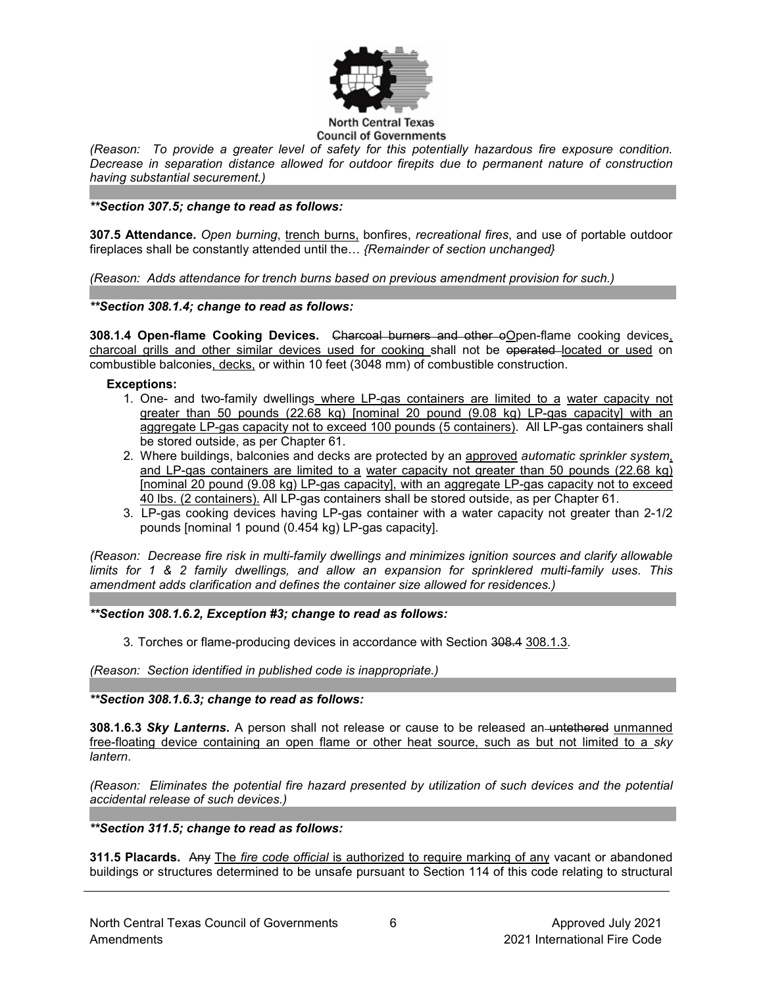

*(Reason: To provide a greater level of safety for this potentially hazardous fire exposure condition. Decrease in separation distance allowed for outdoor firepits due to permanent nature of construction having substantial securement.)*

*\*\*Section 307.5; change to read as follows:*

**307.5 Attendance.** *Open burning*, trench burns, bonfires, *recreational fires*, and use of portable outdoor fireplaces shall be constantly attended until the… *{Remainder of section unchanged}*

*(Reason: Adds attendance for trench burns based on previous amendment provision for such.)*

*\*\*Section 308.1.4; change to read as follows:*

**308.1.4 Open-flame Cooking Devices.** Charcoal burners and other oOpen-flame cooking devices, charcoal grills and other similar devices used for cooking shall not be operated located or used on combustible balconies, decks, or within 10 feet (3048 mm) of combustible construction.

#### **Exceptions:**

- 1. One- and two-family dwellings where LP-gas containers are limited to a water capacity not greater than 50 pounds  $(22.68 \text{ kg})$  [nominal 20 pound  $(9.08 \text{ kg})$  LP-gas capacity] with an aggregate LP-gas capacity not to exceed 100 pounds (5 containers). All LP-gas containers shall be stored outside, as per Chapter 61.
- 2. Where buildings, balconies and decks are protected by an approved *automatic sprinkler system*, and LP-gas containers are limited to a water capacity not greater than 50 pounds (22.68 kg) [nominal 20 pound (9.08 kg) LP-gas capacity], with an aggregate LP-gas capacity not to exceed 40 lbs. (2 containers). All LP-gas containers shall be stored outside, as per Chapter 61.
- 3. LP-gas cooking devices having LP-gas container with a water capacity not greater than 2-1/2 pounds [nominal 1 pound (0.454 kg) LP-gas capacity].

*(Reason: Decrease fire risk in multi-family dwellings and minimizes ignition sources and clarify allowable limits for 1 & 2 family dwellings, and allow an expansion for sprinklered multi-family uses. This amendment adds clarification and defines the container size allowed for residences.)*

*\*\*Section 308.1.6.2, Exception #3; change to read as follows:*

3. Torches or flame-producing devices in accordance with Section 308.4 308.1.3.

*(Reason: Section identified in published code is inappropriate.)*

*\*\*Section 308.1.6.3; change to read as follows:*

**308.1.6.3** *Sky Lanterns***.** A person shall not release or cause to be released an untethered unmanned free-floating device containing an open flame or other heat source, such as but not limited to a *sky lantern*.

*(Reason: Eliminates the potential fire hazard presented by utilization of such devices and the potential accidental release of such devices.)*

*\*\*Section 311.5; change to read as follows:*

**311.5 Placards.** Any The *fire code official* is authorized to require marking of any vacant or abandoned buildings or structures determined to be unsafe pursuant to Section 114 of this code relating to structural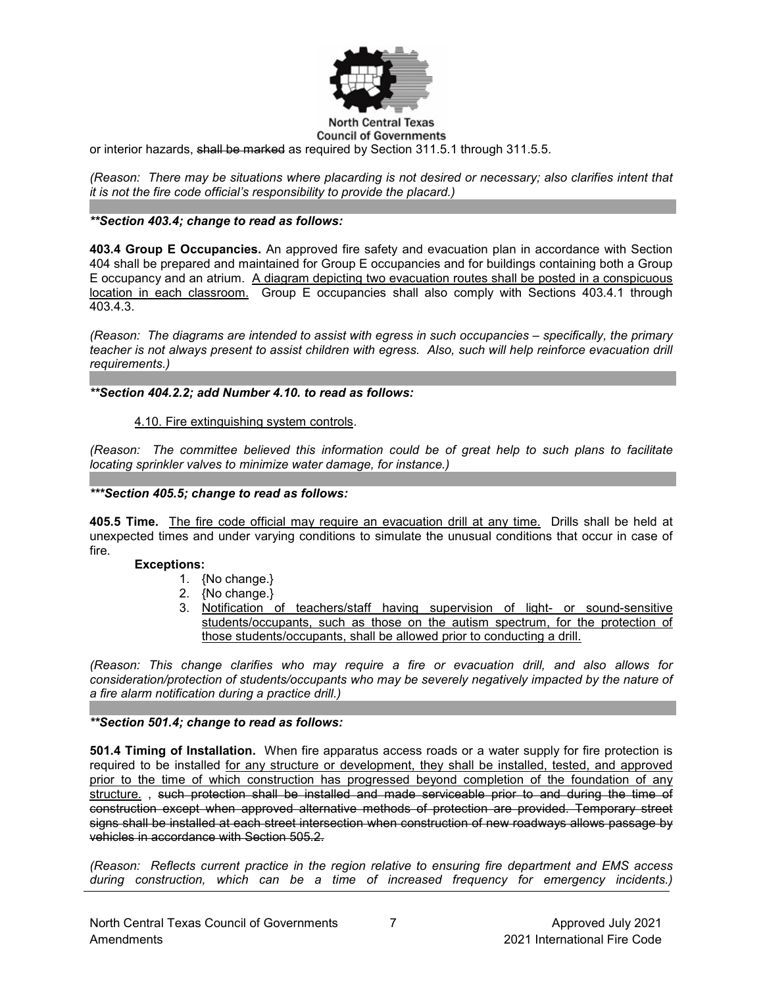

or interior hazards, shall be marked as required by Section 311.5.1 through 311.5.5.

*(Reason: There may be situations where placarding is not desired or necessary; also clarifies intent that it is not the fire code official's responsibility to provide the placard.)*

### *\*\*Section 403.4; change to read as follows:*

**403.4 Group E Occupancies.** An approved fire safety and evacuation plan in accordance with Section 404 shall be prepared and maintained for Group E occupancies and for buildings containing both a Group E occupancy and an atrium. A diagram depicting two evacuation routes shall be posted in a conspicuous location in each classroom. Group E occupancies shall also comply with Sections 403.4.1 through 403.4.3.

*(Reason: The diagrams are intended to assist with egress in such occupancies – specifically, the primary teacher is not always present to assist children with egress. Also, such will help reinforce evacuation drill requirements.)*

*\*\*Section 404.2.2; add Number 4.10. to read as follows:*

#### 4.10. Fire extinguishing system controls.

*(Reason: The committee believed this information could be of great help to such plans to facilitate locating sprinkler valves to minimize water damage, for instance.)*

### *\*\*\*Section 405.5; change to read as follows:*

**405.5 Time.** The fire code official may require an evacuation drill at any time. Drills shall be held at unexpected times and under varying conditions to simulate the unusual conditions that occur in case of fire.

#### **Exceptions:**

- 1. {No change.}
- 2. {No change.}
- 3. Notification of teachers/staff having supervision of light- or sound-sensitive students/occupants, such as those on the autism spectrum, for the protection of those students/occupants, shall be allowed prior to conducting a drill.

*(Reason: This change clarifies who may require a fire or evacuation drill, and also allows for consideration/protection of students/occupants who may be severely negatively impacted by the nature of a fire alarm notification during a practice drill.)* 

#### *\*\*Section 501.4; change to read as follows:*

**501.4 Timing of Installation.** When fire apparatus access roads or a water supply for fire protection is required to be installed for any structure or development, they shall be installed, tested, and approved prior to the time of which construction has progressed beyond completion of the foundation of any structure. , such protection shall be installed and made serviceable prior to and during the time of construction except when approved alternative methods of protection are provided. Temporary street signs shall be installed at each street intersection when construction of new roadways allows passage by vehicles in accordance with Section 505.2.

*(Reason: Reflects current practice in the region relative to ensuring fire department and EMS access during construction, which can be a time of increased frequency for emergency incidents.)*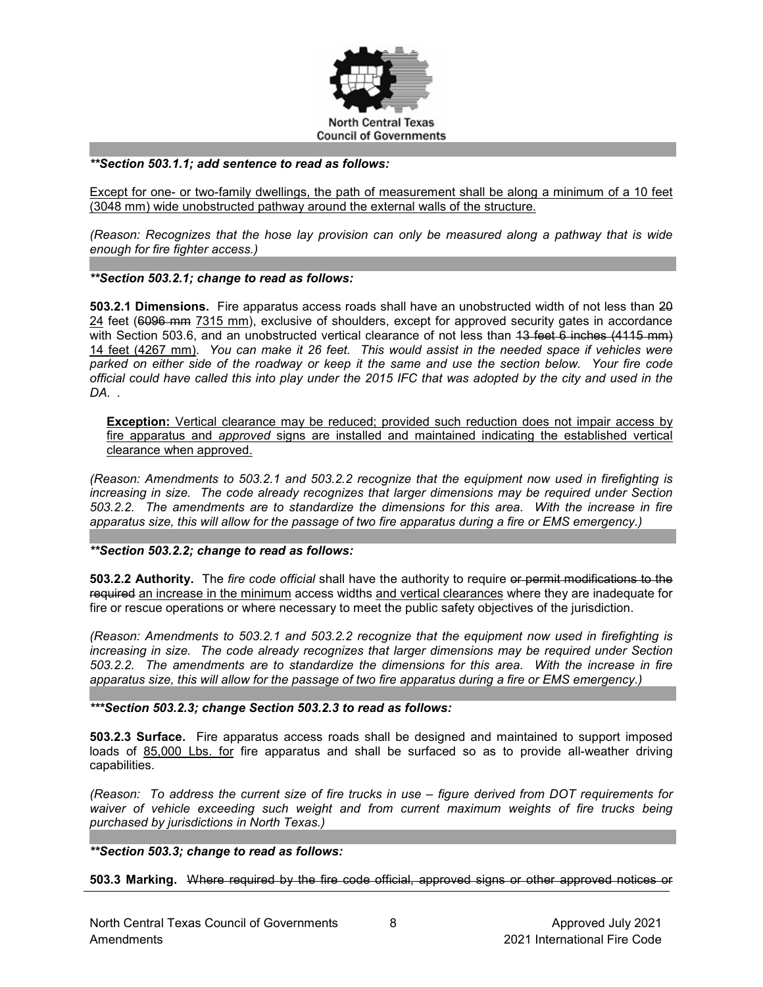

#### *\*\*Section 503.1.1; add sentence to read as follows:*

Except for one- or two-family dwellings, the path of measurement shall be along a minimum of a 10 feet (3048 mm) wide unobstructed pathway around the external walls of the structure.

*(Reason: Recognizes that the hose lay provision can only be measured along a pathway that is wide enough for fire fighter access.)*

#### *\*\*Section 503.2.1; change to read as follows:*

**503.2.1 Dimensions.** Fire apparatus access roads shall have an unobstructed width of not less than 20 24 feet (6096 mm 7315 mm), exclusive of shoulders, except for approved security gates in accordance with Section 503.6, and an unobstructed vertical clearance of not less than 13 feet 6 inches (4115 mm) 14 feet (4267 mm). *You can make it 26 feet. This would assist in the needed space if vehicles were parked on either side of the roadway or keep it the same and use the section below. Your fire code official could have called this into play under the 2015 IFC that was adopted by the city and used in the DA. .* 

**Exception:** Vertical clearance may be reduced; provided such reduction does not impair access by fire apparatus and *approved* signs are installed and maintained indicating the established vertical clearance when approved.

*(Reason: Amendments to 503.2.1 and 503.2.2 recognize that the equipment now used in firefighting is increasing in size. The code already recognizes that larger dimensions may be required under Section 503.2.2. The amendments are to standardize the dimensions for this area. With the increase in fire apparatus size, this will allow for the passage of two fire apparatus during a fire or EMS emergency.)*

#### *\*\*Section 503.2.2; change to read as follows:*

**503.2.2 Authority.** The *fire code official* shall have the authority to require or permit modifications to the required an increase in the minimum access widths and vertical clearances where they are inadequate for fire or rescue operations or where necessary to meet the public safety objectives of the jurisdiction.

*(Reason: Amendments to 503.2.1 and 503.2.2 recognize that the equipment now used in firefighting is increasing in size. The code already recognizes that larger dimensions may be required under Section 503.2.2. The amendments are to standardize the dimensions for this area. With the increase in fire apparatus size, this will allow for the passage of two fire apparatus during a fire or EMS emergency.)*

#### *\*\*\*Section 503.2.3; change Section 503.2.3 to read as follows:*

**503.2.3 Surface.** Fire apparatus access roads shall be designed and maintained to support imposed loads of 85,000 Lbs. for fire apparatus and shall be surfaced so as to provide all-weather driving capabilities.

*(Reason: To address the current size of fire trucks in use – figure derived from DOT requirements for waiver of vehicle exceeding such weight and from current maximum weights of fire trucks being purchased by jurisdictions in North Texas.)*

*\*\*Section 503.3; change to read as follows:*

**503.3 Marking.** Where required by the fire code official, approved signs or other approved notices or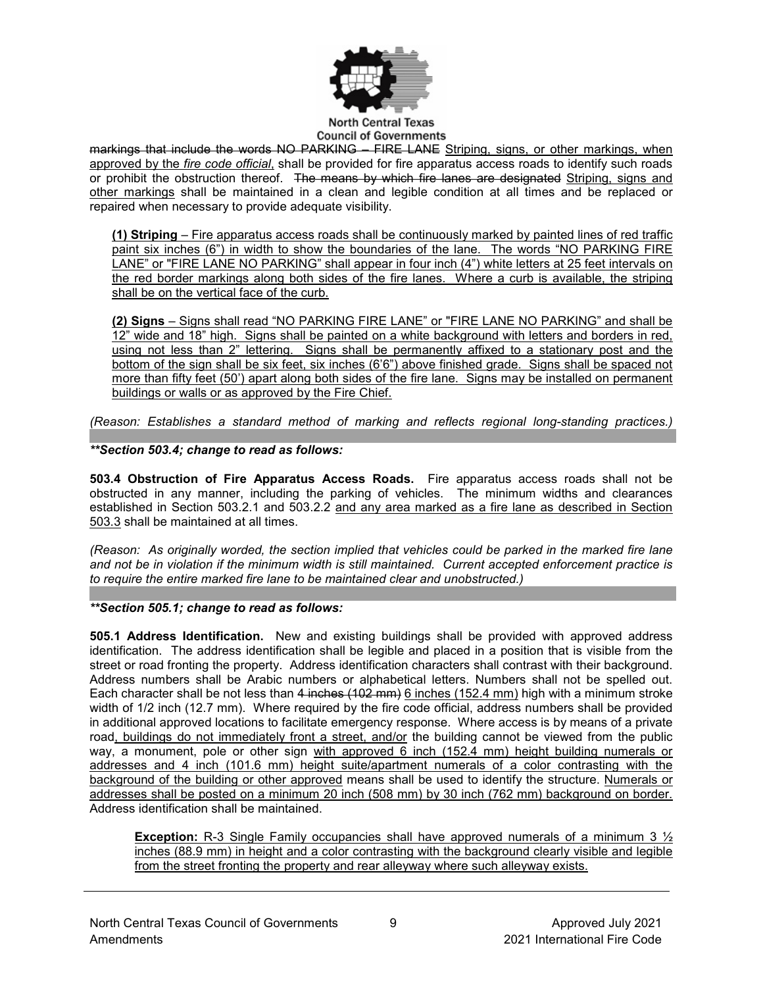

#### **North Central Texas Council of Governments**

markings that include the words NO PARKING – FIRE LANE Striping, signs, or other markings, when approved by the *fire code official*, shall be provided for fire apparatus access roads to identify such roads or prohibit the obstruction thereof. The means by which fire lanes are designated Striping, signs and other markings shall be maintained in a clean and legible condition at all times and be replaced or repaired when necessary to provide adequate visibility.

**(1) Striping** – Fire apparatus access roads shall be continuously marked by painted lines of red traffic paint six inches (6") in width to show the boundaries of the lane. The words "NO PARKING FIRE LANE" or "FIRE LANE NO PARKING" shall appear in four inch (4") white letters at 25 feet intervals on the red border markings along both sides of the fire lanes. Where a curb is available, the striping shall be on the vertical face of the curb.

**(2) Signs** – Signs shall read "NO PARKING FIRE LANE" or "FIRE LANE NO PARKING" and shall be 12" wide and 18" high. Signs shall be painted on a white background with letters and borders in red, using not less than 2" lettering. Signs shall be permanently affixed to a stationary post and the bottom of the sign shall be six feet, six inches (6'6") above finished grade. Signs shall be spaced not more than fifty feet (50') apart along both sides of the fire lane. Signs may be installed on permanent buildings or walls or as approved by the Fire Chief.

*(Reason: Establishes a standard method of marking and reflects regional long-standing practices.)*

*\*\*Section 503.4; change to read as follows:*

**503.4 Obstruction of Fire Apparatus Access Roads.** Fire apparatus access roads shall not be obstructed in any manner, including the parking of vehicles. The minimum widths and clearances established in Section 503.2.1 and 503.2.2 and any area marked as a fire lane as described in Section 503.3 shall be maintained at all times.

*(Reason: As originally worded, the section implied that vehicles could be parked in the marked fire lane and not be in violation if the minimum width is still maintained. Current accepted enforcement practice is to require the entire marked fire lane to be maintained clear and unobstructed.)*

### *\*\*Section 505.1; change to read as follows:*

**505.1 Address Identification.** New and existing buildings shall be provided with approved address identification. The address identification shall be legible and placed in a position that is visible from the street or road fronting the property. Address identification characters shall contrast with their background. Address numbers shall be Arabic numbers or alphabetical letters. Numbers shall not be spelled out. Each character shall be not less than 4 inches (102 mm) 6 inches (152.4 mm) high with a minimum stroke width of 1/2 inch (12.7 mm). Where required by the fire code official, address numbers shall be provided in additional approved locations to facilitate emergency response. Where access is by means of a private road, buildings do not immediately front a street, and/or the building cannot be viewed from the public way, a monument, pole or other sign with approved 6 inch (152.4 mm) height building numerals or addresses and 4 inch (101.6 mm) height suite/apartment numerals of a color contrasting with the background of the building or other approved means shall be used to identify the structure. Numerals or addresses shall be posted on a minimum 20 inch (508 mm) by 30 inch (762 mm) background on border. Address identification shall be maintained.

**Exception:** R-3 Single Family occupancies shall have approved numerals of a minimum 3  $\frac{1}{2}$ inches (88.9 mm) in height and a color contrasting with the background clearly visible and legible from the street fronting the property and rear alleyway where such alleyway exists.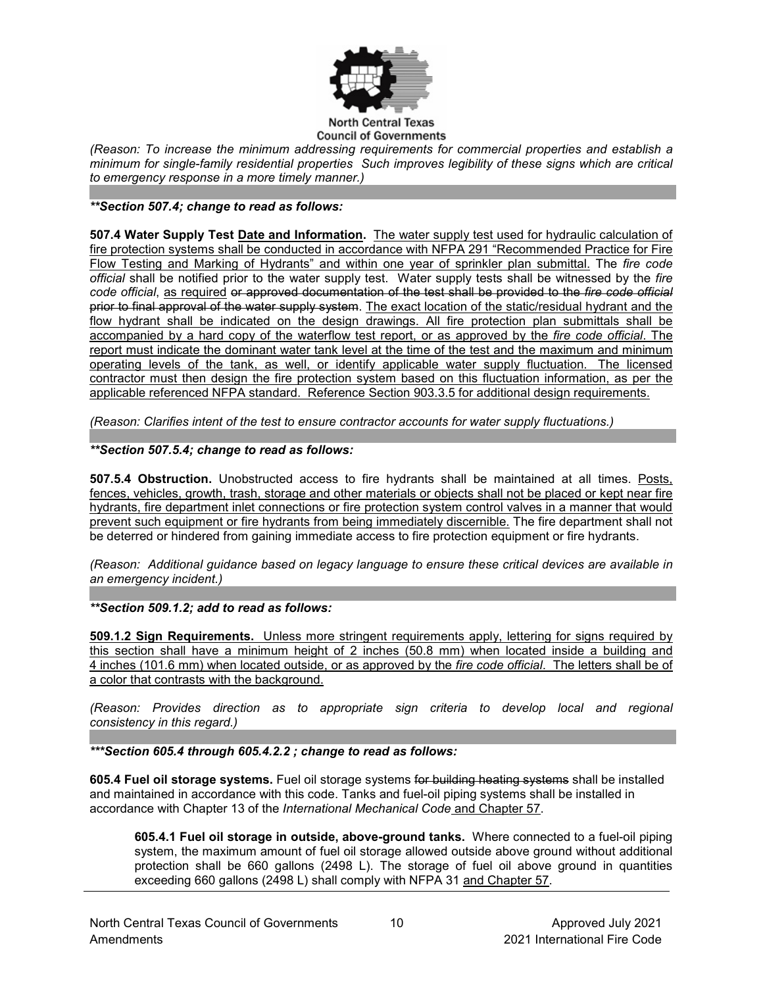

#### **North Central Texas Council of Governments**

*(Reason: To increase the minimum addressing requirements for commercial properties and establish a minimum for single-family residential properties Such improves legibility of these signs which are critical to emergency response in a more timely manner.)*

### *\*\*Section 507.4; change to read as follows:*

**507.4 Water Supply Test Date and Information.** The water supply test used for hydraulic calculation of fire protection systems shall be conducted in accordance with NFPA 291 "Recommended Practice for Fire Flow Testing and Marking of Hydrants" and within one year of sprinkler plan submittal. The *fire code official* shall be notified prior to the water supply test. Water supply tests shall be witnessed by the *fire code official*, as required or approved documentation of the test shall be provided to the *fire code official* prior to final approval of the water supply system. The exact location of the static/residual hydrant and the flow hydrant shall be indicated on the design drawings. All fire protection plan submittals shall be accompanied by a hard copy of the waterflow test report, or as approved by the *fire code official*. The report must indicate the dominant water tank level at the time of the test and the maximum and minimum operating levels of the tank, as well, or identify applicable water supply fluctuation. The licensed contractor must then design the fire protection system based on this fluctuation information, as per the applicable referenced NFPA standard. Reference Section 903.3.5 for additional design requirements.

*(Reason: Clarifies intent of the test to ensure contractor accounts for water supply fluctuations.)*

### *\*\*Section 507.5.4; change to read as follows:*

**507.5.4 Obstruction.** Unobstructed access to fire hydrants shall be maintained at all times. Posts, fences, vehicles, growth, trash, storage and other materials or objects shall not be placed or kept near fire hydrants, fire department inlet connections or fire protection system control valves in a manner that would prevent such equipment or fire hydrants from being immediately discernible. The fire department shall not be deterred or hindered from gaining immediate access to fire protection equipment or fire hydrants.

*(Reason: Additional guidance based on legacy language to ensure these critical devices are available in an emergency incident.)*

*\*\*Section 509.1.2; add to read as follows:*

**509.1.2 Sign Requirements.** Unless more stringent requirements apply, lettering for signs required by this section shall have a minimum height of 2 inches (50.8 mm) when located inside a building and 4 inches (101.6 mm) when located outside, or as approved by the *fire code official*. The letters shall be of a color that contrasts with the background.

*(Reason: Provides direction as to appropriate sign criteria to develop local and regional consistency in this regard.)*

*\*\*\*Section 605.4 through 605.4.2.2 ; change to read as follows:*

**605.4 Fuel oil storage systems.** Fuel oil storage systems for building heating systems shall be installed and maintained in accordance with this code. Tanks and fuel-oil piping systems shall be installed in accordance with Chapter 13 of the *International Mechanical Code* and Chapter 57.

**605.4.1 Fuel oil storage in outside, above-ground tanks.** Where connected to a fuel-oil piping system, the maximum amount of fuel oil storage allowed outside above ground without additional protection shall be 660 gallons (2498 L). The storage of fuel oil above ground in quantities exceeding 660 gallons (2498 L) shall comply with NFPA 31 and Chapter 57.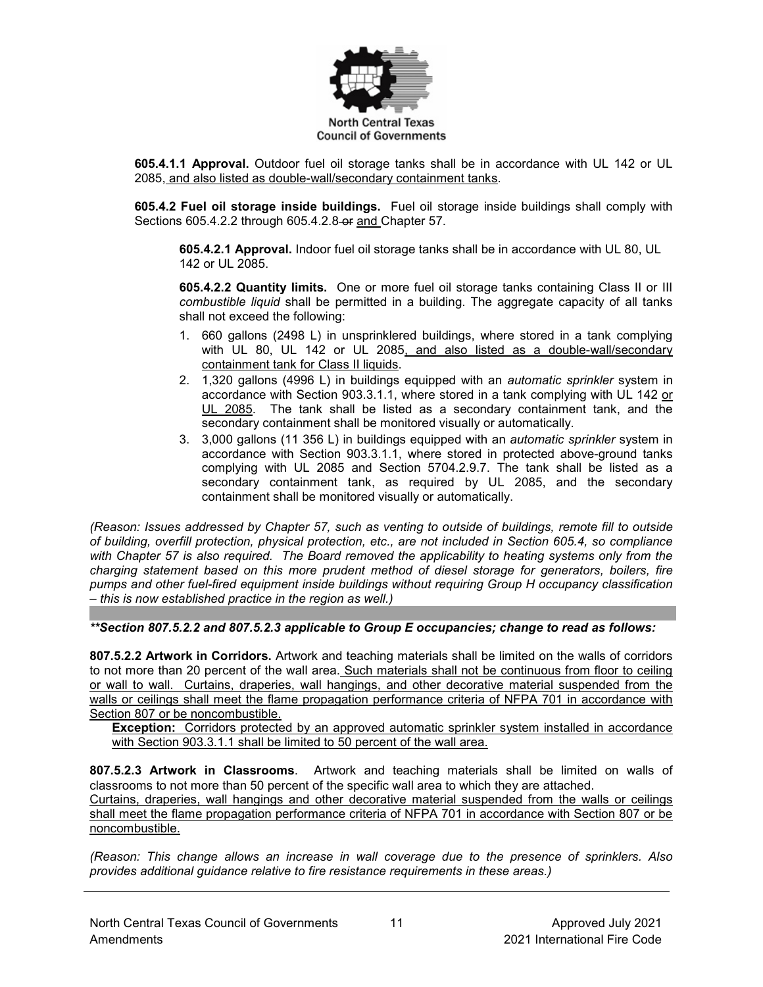

**605.4.1.1 Approval.** Outdoor fuel oil storage tanks shall be in accordance with UL 142 or UL 2085, and also listed as double-wall/secondary containment tanks.

**605.4.2 Fuel oil storage inside buildings.** Fuel oil storage inside buildings shall comply with Sections [605.4.2.2](https://codes.iccsafe.org/premium/document/linkit/IFC2018_Pt03_Ch06_Sec603.3.2.1/988/11566598/text-id-11566635) through 605.4.2.8 or and Chapter 57.

**605.4.2.1 Approval.** Indoor fuel oil storage tanks shall be in accordance with UL 80, UL 142 or UL 2085.

**605.4.2.2 Quantity limits.** One or more fuel oil storage tanks containing Class II or III *combustible liquid* shall be permitted in a building. The aggregate capacity of all tanks shall not exceed the following:

- 1. 660 gallons (2498 L) in unsprinklered buildings, where stored in a tank complying with [UL 80,](https://codes.iccsafe.org/premium/document/linkit/IFC2018_Pt06_Ch80_PromUL_RefStd80_07/988/11566598/text-id-11566636) [UL 142](https://codes.iccsafe.org/premium/document/linkit/IFC2018_Pt06_Ch80_PromUL_RefStd142_06/988/11566598/text-id-11566636) or [UL 2085,](https://codes.iccsafe.org/premium/document/linkit/IFC2018_Pt06_Ch80_PromUL_RefStd2085_97/988/11566598/text-id-11566636) and also listed as a double-wall/secondary containment tank for Class II liquids.
- 2. 1,320 gallons (4996 L) in buildings equipped with an *automatic sprinkler* system in accordance with [Section 903.3.1.1,](https://codes.iccsafe.org/premium/document/linkit/IFC2018_Pt03_Ch09_Sec903.3.1.1/988/11566598/text-id-11566636) where stored in a tank complying with [UL 142](https://codes.iccsafe.org/premium/document/linkit/IFC2018_Pt06_Ch80_PromUL_RefStd142_06/988/11566598/text-id-11566636) or UL 2085. The tank shall be listed as a secondary containment tank, and the secondary containment shall be monitored visually or automatically.
- 3. 3,000 gallons (11 356 L) in buildings equipped with an *automatic sprinkler* system in accordance with [Section 903.3.1.1,](https://codes.iccsafe.org/premium/document/linkit/IFC2018_Pt03_Ch09_Sec903.3.1.1/988/11566598/text-id-11566636) where stored in protected above-ground tanks complying with [UL 2085](https://codes.iccsafe.org/premium/document/linkit/IFC2018_Pt06_Ch80_PromUL_RefStd2085_97/988/11566598/text-id-11566636) and [Section 5704.2.9.7.](https://codes.iccsafe.org/premium/document/linkit/IFC2018_Pt05_Ch57_Sec5704.2.9.7/988/11566598/text-id-11566636) The tank shall be listed as a secondary containment tank, as required by UL 2085, and the secondary containment shall be monitored visually or automatically.

*(Reason: Issues addressed by Chapter 57, such as venting to outside of buildings, remote fill to outside of building, overfill protection, physical protection, etc., are not included in Section 605.4, so compliance with Chapter 57 is also required. The Board removed the applicability to heating systems only from the charging statement based on this more prudent method of diesel storage for generators, boilers, fire pumps and other fuel-fired equipment inside buildings without requiring Group H occupancy classification – this is now established practice in the region as well.)*

*\*\*Section 807.5.2.2 and 807.5.2.3 applicable to Group E occupancies; change to read as follows:*

**807.5.2.2 Artwork in Corridors.** Artwork and teaching materials shall be limited on the walls of corridors to not more than 20 percent of the wall area. Such materials shall not be continuous from floor to ceiling or wall to wall. Curtains, draperies, wall hangings, and other decorative material suspended from the walls or ceilings shall meet the flame propagation performance criteria of NFPA 701 in accordance with Section 807 or be noncombustible.

**Exception:** Corridors protected by an approved automatic sprinkler system installed in accordance with Section 903.3.1.1 shall be limited to 50 percent of the wall area.

**807.5.2.3 Artwork in Classrooms**. Artwork and teaching materials shall be limited on walls of classrooms to not more than 50 percent of the specific wall area to which they are attached. Curtains, draperies, wall hangings and other decorative material suspended from the walls or ceilings shall meet the flame propagation performance criteria of NFPA 701 in accordance with Section 807 or be noncombustible.

*(Reason: This change allows an increase in wall coverage due to the presence of sprinklers. Also provides additional guidance relative to fire resistance requirements in these areas.)*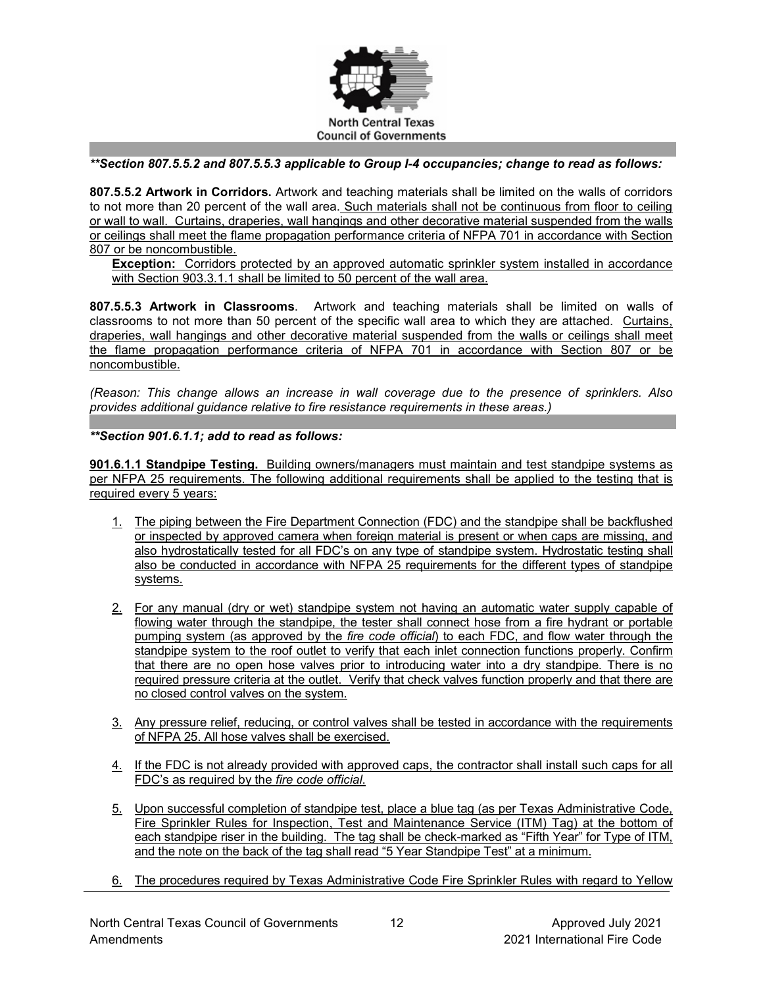

### *\*\*Section 807.5.5.2 and 807.5.5.3 applicable to Group I-4 occupancies; change to read as follows:*

**807.5.5.2 Artwork in Corridors.** Artwork and teaching materials shall be limited on the walls of corridors to not more than 20 percent of the wall area. Such materials shall not be continuous from floor to ceiling or wall to wall. Curtains, draperies, wall hangings and other decorative material suspended from the walls or ceilings shall meet the flame propagation performance criteria of NFPA 701 in accordance with Section 807 or be noncombustible.

**Exception:** Corridors protected by an approved automatic sprinkler system installed in accordance with Section 903.3.1.1 shall be limited to 50 percent of the wall area.

**807.5.5.3 Artwork in Classrooms**. Artwork and teaching materials shall be limited on walls of classrooms to not more than 50 percent of the specific wall area to which they are attached. Curtains, draperies, wall hangings and other decorative material suspended from the walls or ceilings shall meet the flame propagation performance criteria of NFPA 701 in accordance with Section 807 or be noncombustible.

*(Reason: This change allows an increase in wall coverage due to the presence of sprinklers. Also provides additional guidance relative to fire resistance requirements in these areas.)*

*\*\*Section 901.6.1.1; add to read as follows:*

**901.6.1.1 Standpipe Testing.** Building owners/managers must maintain and test standpipe systems as per NFPA 25 requirements. The following additional requirements shall be applied to the testing that is required every 5 years:

- 1. The piping between the Fire Department Connection (FDC) and the standpipe shall be backflushed or inspected by approved camera when foreign material is present or when caps are missing, and also hydrostatically tested for all FDC's on any type of standpipe system. Hydrostatic testing shall also be conducted in accordance with NFPA 25 requirements for the different types of standpipe systems.
- 2. For any manual (dry or wet) standpipe system not having an automatic water supply capable of flowing water through the standpipe, the tester shall connect hose from a fire hydrant or portable pumping system (as approved by the *fire code official*) to each FDC, and flow water through the standpipe system to the roof outlet to verify that each inlet connection functions properly. Confirm that there are no open hose valves prior to introducing water into a dry standpipe. There is no required pressure criteria at the outlet. Verify that check valves function properly and that there are no closed control valves on the system.
- 3. Any pressure relief, reducing, or control valves shall be tested in accordance with the requirements of NFPA 25. All hose valves shall be exercised.
- 4. If the FDC is not already provided with approved caps, the contractor shall install such caps for all FDC's as required by the *fire code official*.
- 5. Upon successful completion of standpipe test, place a blue tag (as per Texas Administrative Code, Fire Sprinkler Rules for Inspection, Test and Maintenance Service (ITM) Tag) at the bottom of each standpipe riser in the building. The tag shall be check-marked as "Fifth Year" for Type of ITM, and the note on the back of the tag shall read "5 Year Standpipe Test" at a minimum.
- 6. The procedures required by Texas Administrative Code Fire Sprinkler Rules with regard to Yellow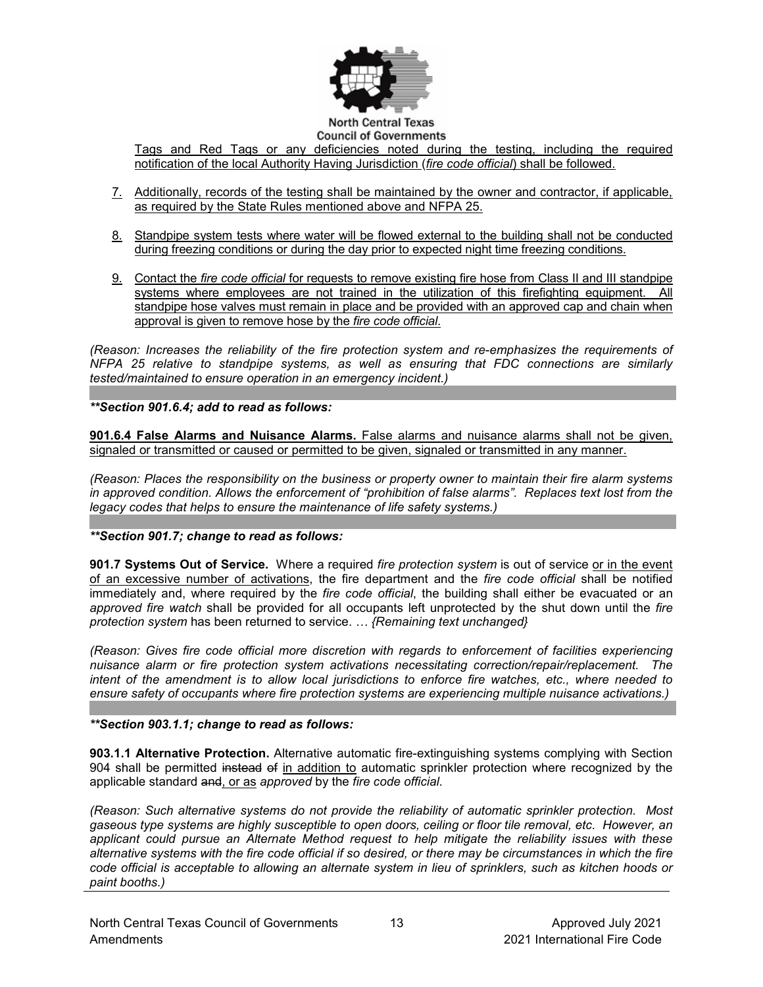

Tags and Red Tags or any deficiencies noted during the testing, including the required notification of the local Authority Having Jurisdiction (*fire code official*) shall be followed.

- 7. Additionally, records of the testing shall be maintained by the owner and contractor, if applicable, as required by the State Rules mentioned above and NFPA 25.
- 8. Standpipe system tests where water will be flowed external to the building shall not be conducted during freezing conditions or during the day prior to expected night time freezing conditions.
- 9. Contact the *fire code official* for requests to remove existing fire hose from Class II and III standpipe systems where employees are not trained in the utilization of this firefighting equipment. All standpipe hose valves must remain in place and be provided with an approved cap and chain when approval is given to remove hose by the *fire code official*.

*(Reason: Increases the reliability of the fire protection system and re-emphasizes the requirements of NFPA 25 relative to standpipe systems, as well as ensuring that FDC connections are similarly tested/maintained to ensure operation in an emergency incident.)*

*\*\*Section 901.6.4; add to read as follows:*

**901.6.4 False Alarms and Nuisance Alarms.** False alarms and nuisance alarms shall not be given, signaled or transmitted or caused or permitted to be given, signaled or transmitted in any manner.

*(Reason: Places the responsibility on the business or property owner to maintain their fire alarm systems in approved condition. Allows the enforcement of "prohibition of false alarms". Replaces text lost from the legacy codes that helps to ensure the maintenance of life safety systems.)*

*\*\*Section 901.7; change to read as follows:*

**901.7 Systems Out of Service.** Where a required *fire protection system* is out of service or in the event of an excessive number of activations, the fire department and the *fire code official* shall be notified immediately and, where required by the *fire code official*, the building shall either be evacuated or an *approved fire watch* shall be provided for all occupants left unprotected by the shut down until the *fire protection system* has been returned to service. *… {Remaining text unchanged}*

*(Reason: Gives fire code official more discretion with regards to enforcement of facilities experiencing nuisance alarm or fire protection system activations necessitating correction/repair/replacement. The intent of the amendment is to allow local jurisdictions to enforce fire watches, etc., where needed to ensure safety of occupants where fire protection systems are experiencing multiple nuisance activations.)*

*\*\*Section 903.1.1; change to read as follows:*

**903.1.1 Alternative Protection.** Alternative automatic fire-extinguishing systems complying with Section 904 shall be permitted instead of in addition to automatic sprinkler protection where recognized by the applicable standard and, or as *approved* by the *fire code official*.

*(Reason: Such alternative systems do not provide the reliability of automatic sprinkler protection. Most gaseous type systems are highly susceptible to open doors, ceiling or floor tile removal, etc. However, an applicant could pursue an Alternate Method request to help mitigate the reliability issues with these alternative systems with the fire code official if so desired, or there may be circumstances in which the fire code official is acceptable to allowing an alternate system in lieu of sprinklers, such as kitchen hoods or paint booths.)*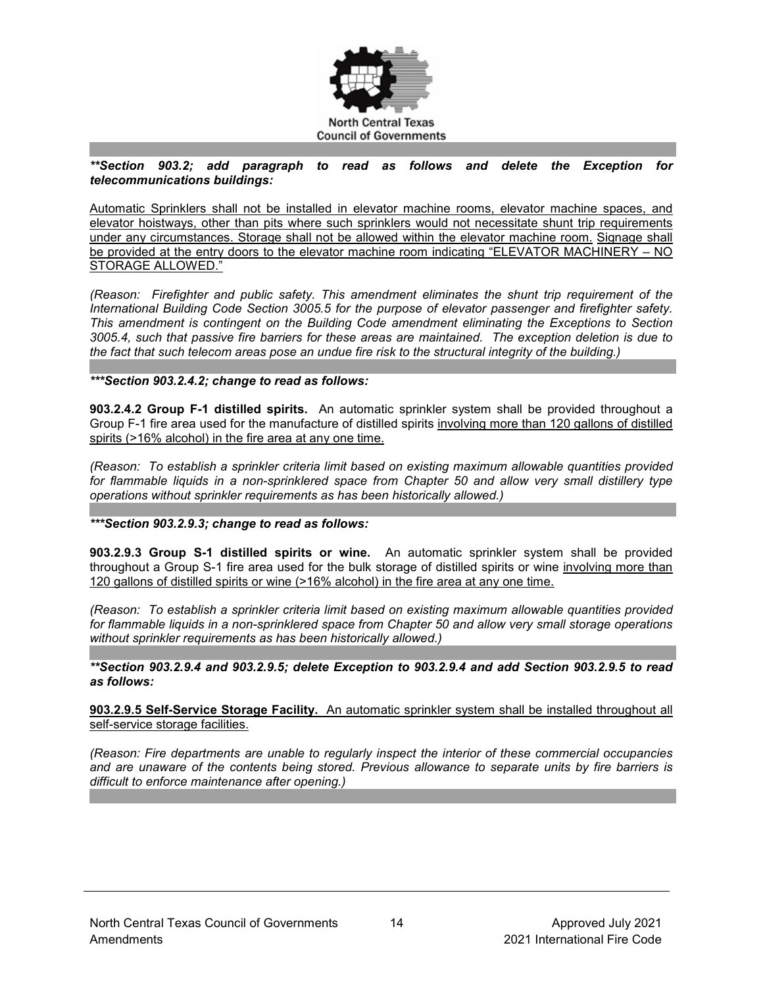

### *\*\*Section 903.2; add paragraph to read as follows and delete the Exception for telecommunications buildings:*

Automatic Sprinklers shall not be installed in elevator machine rooms, elevator machine spaces, and elevator hoistways, other than pits where such sprinklers would not necessitate shunt trip requirements under any circumstances. Storage shall not be allowed within the elevator machine room. Signage shall be provided at the entry doors to the elevator machine room indicating "ELEVATOR MACHINERY – NO STORAGE ALLOWED."

*(Reason: Firefighter and public safety. This amendment eliminates the shunt trip requirement of the International Building Code Section 3005.5 for the purpose of elevator passenger and firefighter safety. This amendment is contingent on the Building Code amendment eliminating the Exceptions to Section 3005.4, such that passive fire barriers for these areas are maintained. The exception deletion is due to the fact that such telecom areas pose an undue fire risk to the structural integrity of the building.)*

### *\*\*\*Section 903.2.4.2; change to read as follows:*

**903.2.4.2 Group F-1 distilled spirits.** An automatic sprinkler system shall be provided throughout a Group F-1 fire area used for the manufacture of distilled spirits involving more than 120 gallons of distilled spirits (>16% alcohol) in the fire area at any one time.

*(Reason: To establish a sprinkler criteria limit based on existing maximum allowable quantities provided for flammable liquids in a non-sprinklered space from Chapter 50 and allow very small distillery type operations without sprinkler requirements as has been historically allowed.)*

*\*\*\*Section 903.2.9.3; change to read as follows:*

**903.2.9.3 Group S-1 distilled spirits or wine.** An automatic sprinkler system shall be provided throughout a Group S-1 fire area used for the bulk storage of distilled spirits or wine involving more than 120 gallons of distilled spirits or wine (>16% alcohol) in the fire area at any one time.

*(Reason: To establish a sprinkler criteria limit based on existing maximum allowable quantities provided for flammable liquids in a non-sprinklered space from Chapter 50 and allow very small storage operations without sprinkler requirements as has been historically allowed.)*

*\*\*Section 903.2.9.4 and 903.2.9.5; delete Exception to 903.2.9.4 and add Section 903.2.9.5 to read as follows:*

**903.2.9.5 Self-Service Storage Facility.** An automatic sprinkler system shall be installed throughout all self-service storage facilities.

*(Reason: Fire departments are unable to regularly inspect the interior of these commercial occupancies and are unaware of the contents being stored. Previous allowance to separate units by fire barriers is difficult to enforce maintenance after opening.)*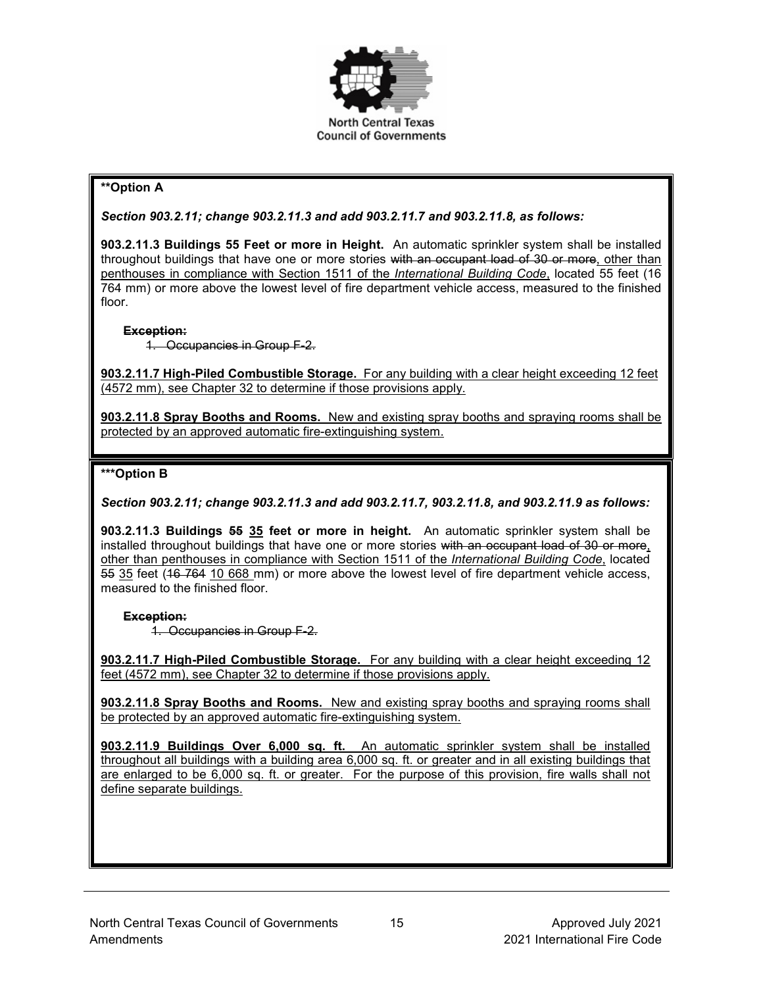

## **\*\*Option A**

*Section 903.2.11; change 903.2.11.3 and add 903.2.11.7 and 903.2.11.8, as follows:*

**903.2.11.3 Buildings 55 Feet or more in Height.** An automatic sprinkler system shall be installed throughout buildings that have one or more stories with an occupant load of 30 or more, other than penthouses in compliance with Section 1511 of the *International Building Code*, located 55 feet (16 764 mm) or more above the lowest level of fire department vehicle access, measured to the finished floor.

### **Exception:**

1. Occupancies in Group F-2.

**903.2.11.7 High-Piled Combustible Storage.** For any building with a clear height exceeding 12 feet (4572 mm), see Chapter 32 to determine if those provisions apply.

**903.2.11.8 Spray Booths and Rooms.** New and existing spray booths and spraying rooms shall be protected by an approved automatic fire-extinguishing system.

### **\*\*\*Option B**

*Section 903.2.11; change 903.2.11.3 and add 903.2.11.7, 903.2.11.8, and 903.2.11.9 as follows:*

**903.2.11.3 Buildings 55 35 feet or more in height.** An automatic sprinkler system shall be installed throughout buildings that have one or more stories with an occupant load of 30 or more, other than penthouses in compliance with Section 1511 of the *International Building Code*, located 55 35 feet (16 764 10 668 mm) or more above the lowest level of fire department vehicle access, measured to the finished floor.

### **Exception:**

1. Occupancies in Group F-2.

**903.2.11.7 High-Piled Combustible Storage.** For any building with a clear height exceeding 12 feet (4572 mm), see Chapter 32 to determine if those provisions apply.

**903.2.11.8 Spray Booths and Rooms.** New and existing spray booths and spraying rooms shall be protected by an approved automatic fire-extinguishing system.

**903.2.11.9 Buildings Over 6,000 sq. ft.** An automatic sprinkler system shall be installed throughout all buildings with a building area 6,000 sq. ft. or greater and in all existing buildings that are enlarged to be 6,000 sq. ft. or greater. For the purpose of this provision, fire walls shall not define separate buildings.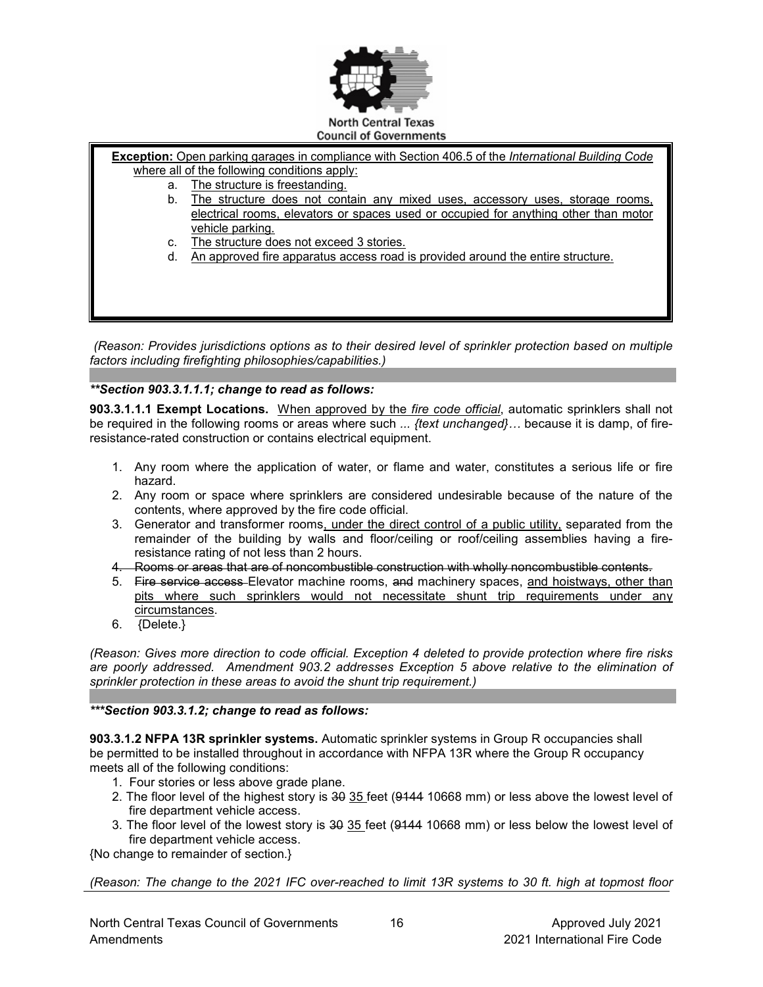

**Exception:** Open parking garages in compliance with Section 406.5 of the *International Building Code* where all of the following conditions apply:

- a. The structure is freestanding.
- b. The structure does not contain any mixed uses, accessory uses, storage rooms, electrical rooms, elevators or spaces used or occupied for anything other than motor vehicle parking.
- c. The structure does not exceed 3 stories.
- d. An approved fire apparatus access road is provided around the entire structure.

*(Reason: Provides jurisdictions options as to their desired level of sprinkler protection based on multiple factors including firefighting philosophies/capabilities.)*

### *\*\*Section 903.3.1.1.1; change to read as follows:*

**903.3.1.1.1 Exempt Locations.** When approved by the *fire code official*, automatic sprinklers shall not be required in the following rooms or areas where such *... {text unchanged}…* because it is damp, of fireresistance-rated construction or contains electrical equipment.

- 1. Any room where the application of water, or flame and water, constitutes a serious life or fire hazard.
- 2. Any room or space where sprinklers are considered undesirable because of the nature of the contents, where approved by the fire code official.
- 3. Generator and transformer rooms, under the direct control of a public utility, separated from the remainder of the building by walls and floor/ceiling or roof/ceiling assemblies having a fireresistance rating of not less than 2 hours.
- 4. Rooms or areas that are of noncombustible construction with wholly noncombustible contents.
- 5. Fire service access Elevator machine rooms, and machinery spaces, and hoistways, other than pits where such sprinklers would not necessitate shunt trip requirements under any circumstances.
- 6. {Delete.}

*(Reason: Gives more direction to code official. Exception 4 deleted to provide protection where fire risks are poorly addressed. Amendment 903.2 addresses Exception 5 above relative to the elimination of sprinkler protection in these areas to avoid the shunt trip requirement.)*

#### *\*\*\*Section 903.3.1.2; change to read as follows:*

**903.3.1.2 NFPA 13R sprinkler systems.** Automatic sprinkler systems in Group R occupancies shall be permitted to be installed throughout in accordance with NFPA 13R where the Group R occupancy meets all of the following conditions:

- 1. Four stories or less above grade plane.
- 2. The floor level of the highest story is 30 35 feet (9144 10668 mm) or less above the lowest level of fire department vehicle access.
- 3. The floor level of the lowest story is 30 35 feet (9144 10668 mm) or less below the lowest level of fire department vehicle access.

{No change to remainder of section.}

*(Reason: The change to the 2021 IFC over-reached to limit 13R systems to 30 ft. high at topmost floor*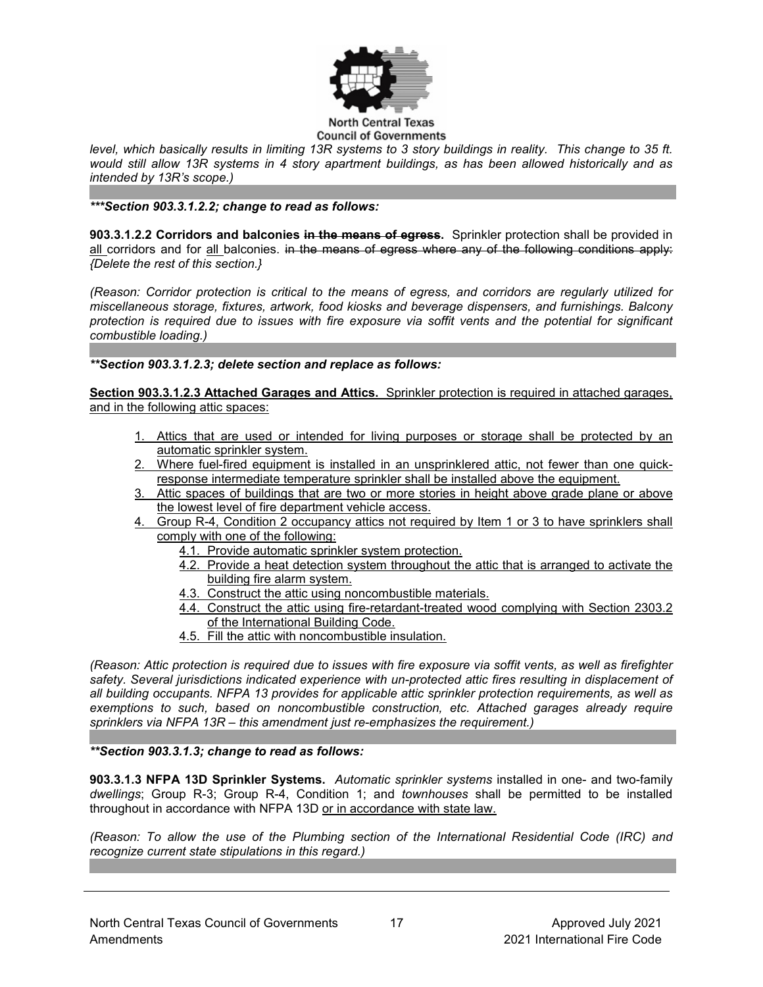

*level, which basically results in limiting 13R systems to 3 story buildings in reality. This change to 35 ft. would still allow 13R systems in 4 story apartment buildings, as has been allowed historically and as intended by 13R's scope.)*

*\*\*\*Section 903.3.1.2.2; change to read as follows:*

**903.3.1.2.2 Corridors and balconies in the means of egress.** Sprinkler protection shall be provided in all corridors and for all balconies. in the means of egress where any of the following conditions apply: *{Delete the rest of this section.}*

*(Reason: Corridor protection is critical to the means of egress, and corridors are regularly utilized for miscellaneous storage, fixtures, artwork, food kiosks and beverage dispensers, and furnishings. Balcony protection is required due to issues with fire exposure via soffit vents and the potential for significant combustible loading.)*

### *\*\*Section 903.3.1.2.3; delete section and replace as follows:*

**Section 903.3.1.2.3 Attached Garages and Attics.** Sprinkler protection is required in attached garages, and in the following attic spaces:

- 1. Attics that are used or intended for living purposes or storage shall be protected by an automatic sprinkler system.
- 2. Where fuel-fired equipment is installed in an unsprinklered attic, not fewer than one quickresponse intermediate temperature sprinkler shall be installed above the equipment.
- 3. Attic spaces of buildings that are two or more stories in height above grade plane or above the lowest level of fire department vehicle access.
- 4. Group R-4, Condition 2 occupancy attics not required by Item 1 or 3 to have sprinklers shall comply with one of the following:
	- 4.1. Provide automatic sprinkler system protection.
	- 4.2. Provide a heat detection system throughout the attic that is arranged to activate the building fire alarm system.
	- 4.3. Construct the attic using noncombustible materials.
	- 4.4. Construct the attic using fire-retardant-treated wood complying with Section 2303.2 of the International Building Code.
	- 4.5. Fill the attic with noncombustible insulation.

*(Reason: Attic protection is required due to issues with fire exposure via soffit vents, as well as firefighter*  safety. Several jurisdictions indicated experience with un-protected attic fires resulting in displacement of *all building occupants. NFPA 13 provides for applicable attic sprinkler protection requirements, as well as exemptions to such, based on noncombustible construction, etc. Attached garages already require sprinklers via NFPA 13R – this amendment just re-emphasizes the requirement.)*

#### *\*\*Section 903.3.1.3; change to read as follows:*

**903.3.1.3 NFPA 13D Sprinkler Systems.** *Automatic sprinkler systems* installed in one- and two-family *dwellings*; Group R-3; Group R-4, Condition 1; and *townhouses* shall be permitted to be installed throughout in accordance with NFPA 13D or in accordance with state law.

*(Reason: To allow the use of the Plumbing section of the International Residential Code (IRC) and recognize current state stipulations in this regard.)*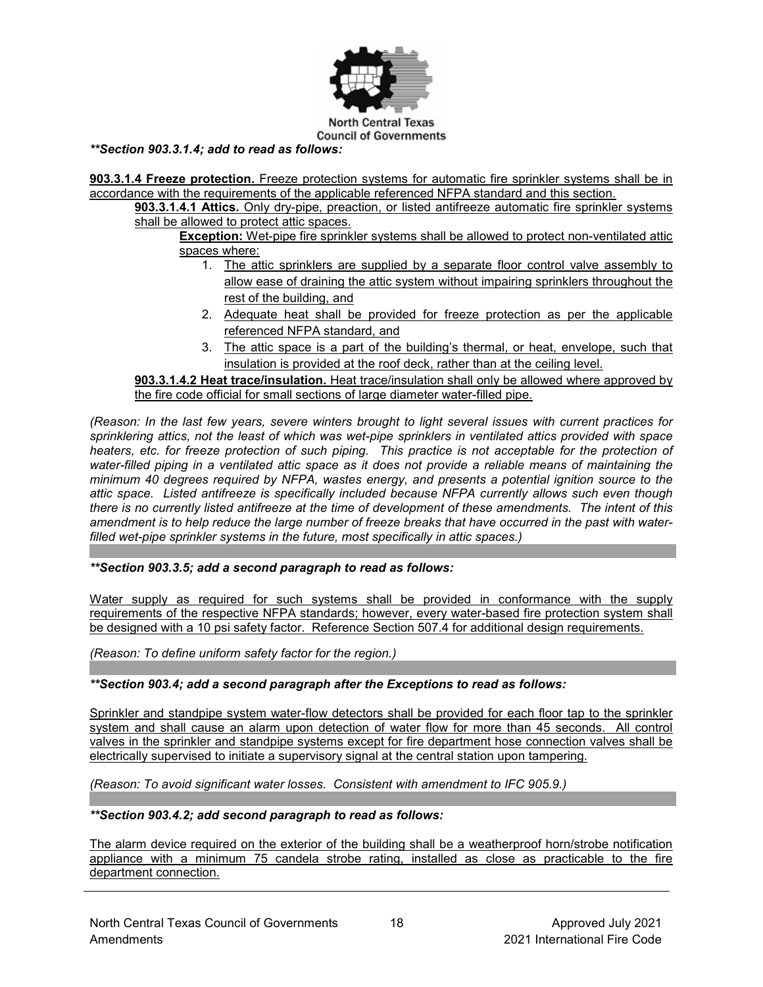

*\*\*Section 903.3.1.4; add to read as follows:*

**903.3.1.4 Freeze protection.** Freeze protection systems for automatic fire sprinkler systems shall be in accordance with the requirements of the applicable referenced NFPA standard and this section.

**903.3.1.4.1 Attics.** Only dry-pipe, preaction, or listed antifreeze automatic fire sprinkler systems shall be allowed to protect attic spaces.

**Exception:** Wet-pipe fire sprinkler systems shall be allowed to protect non-ventilated attic spaces where:

- 1. The attic sprinklers are supplied by a separate floor control valve assembly to allow ease of draining the attic system without impairing sprinklers throughout the rest of the building, and
- 2. Adequate heat shall be provided for freeze protection as per the applicable referenced NFPA standard, and
- 3. The attic space is a part of the building's thermal, or heat, envelope, such that insulation is provided at the roof deck, rather than at the ceiling level.

**903.3.1.4.2 Heat trace/insulation.** Heat trace/insulation shall only be allowed where approved by the fire code official for small sections of large diameter water-filled pipe.

*(Reason: In the last few years, severe winters brought to light several issues with current practices for sprinklering attics, not the least of which was wet-pipe sprinklers in ventilated attics provided with space heaters, etc. for freeze protection of such piping. This practice is not acceptable for the protection of water-filled piping in a ventilated attic space as it does not provide a reliable means of maintaining the minimum 40 degrees required by NFPA, wastes energy, and presents a potential ignition source to the attic space. Listed antifreeze is specifically included because NFPA currently allows such even though there is no currently listed antifreeze at the time of development of these amendments. The intent of this amendment is to help reduce the large number of freeze breaks that have occurred in the past with waterfilled wet-pipe sprinkler systems in the future, most specifically in attic spaces.)*

*\*\*Section 903.3.5; add a second paragraph to read as follows:*

Water supply as required for such systems shall be provided in conformance with the supply requirements of the respective NFPA standards; however, every water-based fire protection system shall be designed with a 10 psi safety factor. Reference Section 507.4 for additional design requirements.

*(Reason: To define uniform safety factor for the region.)*

*\*\*Section 903.4; add a second paragraph after the Exceptions to read as follows:*

Sprinkler and standpipe system water-flow detectors shall be provided for each floor tap to the sprinkler system and shall cause an alarm upon detection of water flow for more than 45 seconds. All control valves in the sprinkler and standpipe systems except for fire department hose connection valves shall be electrically supervised to initiate a supervisory signal at the central station upon tampering.

*(Reason: To avoid significant water losses. Consistent with amendment to IFC 905.9.)*

#### *\*\*Section 903.4.2; add second paragraph to read as follows:*

The alarm device required on the exterior of the building shall be a weatherproof horn/strobe notification appliance with a minimum 75 candela strobe rating, installed as close as practicable to the fire department connection.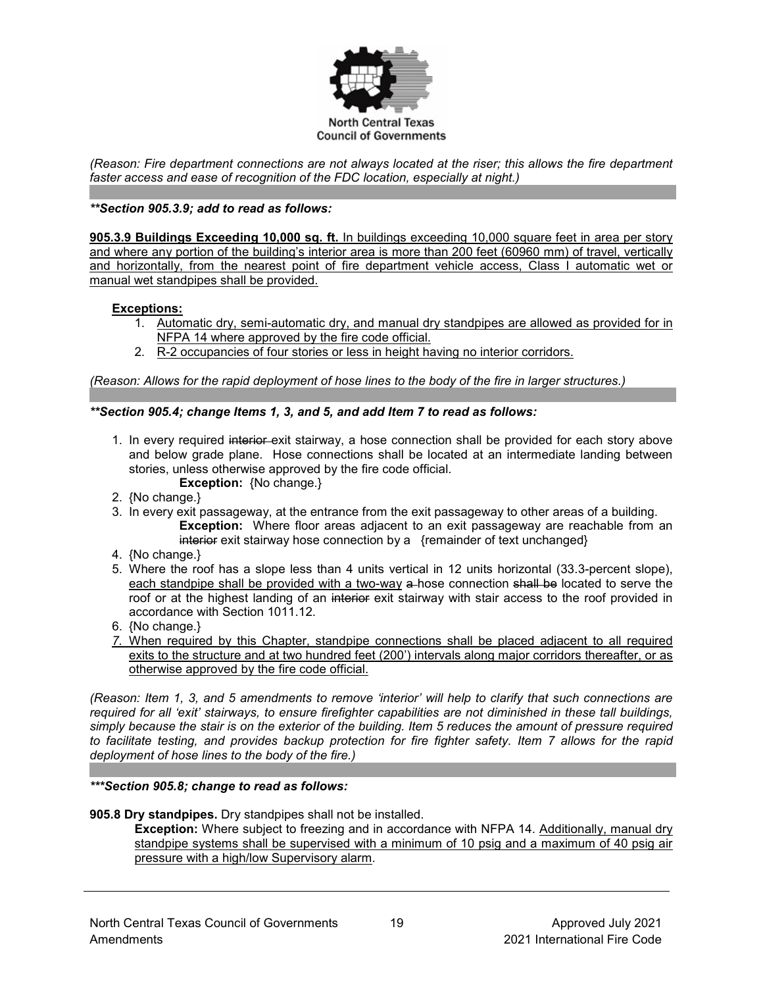

*(Reason: Fire department connections are not always located at the riser; this allows the fire department faster access and ease of recognition of the FDC location, especially at night.)*

### *\*\*Section 905.3.9; add to read as follows:*

**905.3.9 Buildings Exceeding 10,000 sq. ft.** In buildings exceeding 10,000 square feet in area per story and where any portion of the building's interior area is more than 200 feet (60960 mm) of travel, vertically and horizontally, from the nearest point of fire department vehicle access, Class I automatic wet or manual wet standpipes shall be provided.

#### **Exceptions:**

- 1. Automatic dry, semi-automatic dry, and manual dry standpipes are allowed as provided for in NFPA 14 where approved by the fire code official.
- 2. R-2 occupancies of four stories or less in height having no interior corridors.

*(Reason: Allows for the rapid deployment of hose lines to the body of the fire in larger structures.)*

#### *\*\*Section 905.4; change Items 1, 3, and 5, and add Item 7 to read as follows:*

- 1. In every required interior exit stairway, a hose connection shall be provided for each story above and below grade plane. Hose connections shall be located at an intermediate landing between stories, unless otherwise approved by the fire code official. **Exception:** {No change.}
- 2. {No change.}
- 3. In every exit passageway, at the entrance from the exit passageway to other areas of a building. **Exception:** Where floor areas adjacent to an exit passageway are reachable from an interior exit stairway hose connection by a {remainder of text unchanged}
- 4. {No change.}
- 5. Where the roof has a slope less than 4 units vertical in 12 units horizontal (33.3-percent slope), each standpipe shall be provided with a two-way a-hose connection shall be located to serve the roof or at the highest landing of an interior exit stairway with stair access to the roof provided in accordance with Section 1011.12.
- 6. {No change.}
- *7.* When required by this Chapter, standpipe connections shall be placed adjacent to all required exits to the structure and at two hundred feet (200') intervals along major corridors thereafter, or as otherwise approved by the fire code official.

*(Reason: Item 1, 3, and 5 amendments to remove 'interior' will help to clarify that such connections are required for all 'exit' stairways, to ensure firefighter capabilities are not diminished in these tall buildings, simply because the stair is on the exterior of the building. Item 5 reduces the amount of pressure required to facilitate testing, and provides backup protection for fire fighter safety. Item 7 allows for the rapid deployment of hose lines to the body of the fire.)*

#### *\*\*\*Section 905.8; change to read as follows:*

#### **905.8 Dry standpipes.** Dry standpipes shall not be installed.

**Exception:** Where subject to freezing and in accordance with NFPA 14. Additionally, manual dry standpipe systems shall be supervised with a minimum of 10 psig and a maximum of 40 psig air pressure with a high/low Supervisory alarm.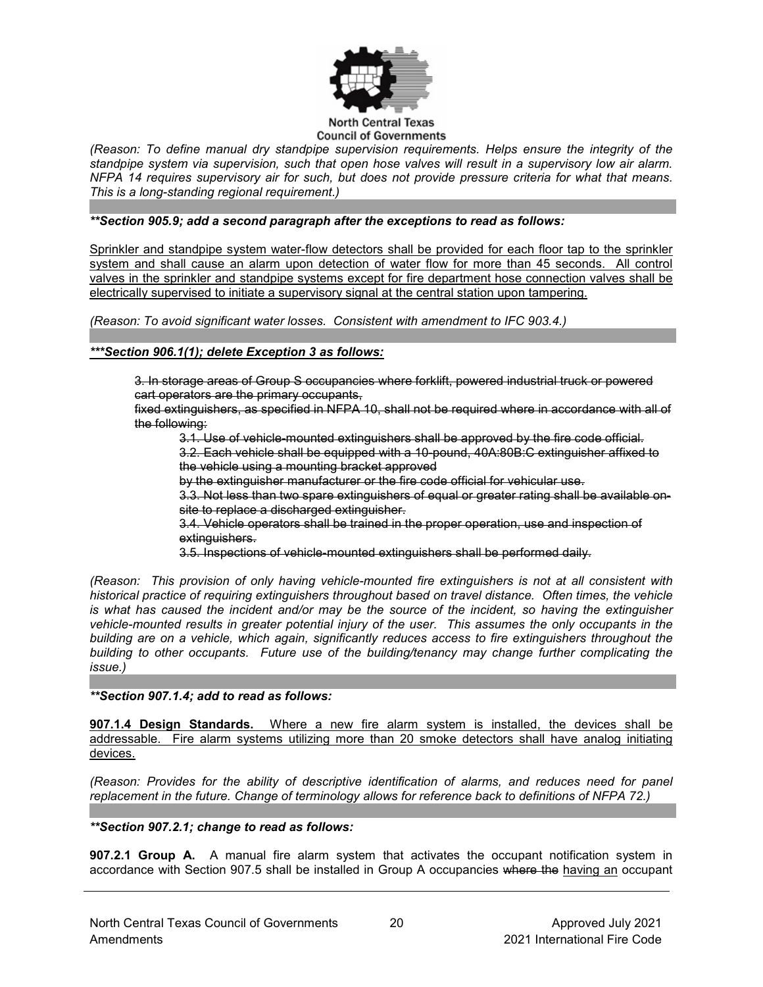

*(Reason: To define manual dry standpipe supervision requirements. Helps ensure the integrity of the standpipe system via supervision, such that open hose valves will result in a supervisory low air alarm. NFPA 14 requires supervisory air for such, but does not provide pressure criteria for what that means. This is a long-standing regional requirement.)*

### *\*\*Section 905.9; add a second paragraph after the exceptions to read as follows:*

Sprinkler and standpipe system water-flow detectors shall be provided for each floor tap to the sprinkler system and shall cause an alarm upon detection of water flow for more than 45 seconds. All control valves in the sprinkler and standpipe systems except for fire department hose connection valves shall be electrically supervised to initiate a supervisory signal at the central station upon tampering.

*(Reason: To avoid significant water losses. Consistent with amendment to IFC 903.4.)*

*\*\*\*Section 906.1(1); delete Exception 3 as follows:*

3. In storage areas of Group S occupancies where forklift, powered industrial truck or powered cart operators are the primary occupants,

fixed extinguishers, as specified in NFPA 10, shall not be required where in accordance with all of the following:

3.1. Use of vehicle-mounted extinguishers shall be approved by the fire code official.

3.2. Each vehicle shall be equipped with a 10-pound, 40A:80B:C extinguisher affixed to the vehicle using a mounting bracket approved

by the extinguisher manufacturer or the fire code official for vehicular use.

3.3. Not less than two spare extinguishers of equal or greater rating shall be available onsite to replace a discharged extinguisher.

3.4. Vehicle operators shall be trained in the proper operation, use and inspection of extinguishers.

3.5. Inspections of vehicle-mounted extinguishers shall be performed daily.

*(Reason: This provision of only having vehicle-mounted fire extinguishers is not at all consistent with historical practice of requiring extinguishers throughout based on travel distance. Often times, the vehicle is what has caused the incident and/or may be the source of the incident, so having the extinguisher vehicle-mounted results in greater potential injury of the user. This assumes the only occupants in the building are on a vehicle, which again, significantly reduces access to fire extinguishers throughout the building to other occupants. Future use of the building/tenancy may change further complicating the issue.)*

*\*\*Section 907.1.4; add to read as follows:*

**907.1.4 Design Standards.** Where a new fire alarm system is installed, the devices shall be addressable. Fire alarm systems utilizing more than 20 smoke detectors shall have analog initiating devices.

*(Reason: Provides for the ability of descriptive identification of alarms, and reduces need for panel replacement in the future. Change of terminology allows for reference back to definitions of NFPA 72.)*

### *\*\*Section 907.2.1; change to read as follows:*

**907.2.1 Group A.** A manual fire alarm system that activates the occupant notification system in accordance with Section 907.5 shall be installed in Group A occupancies where the having an occupant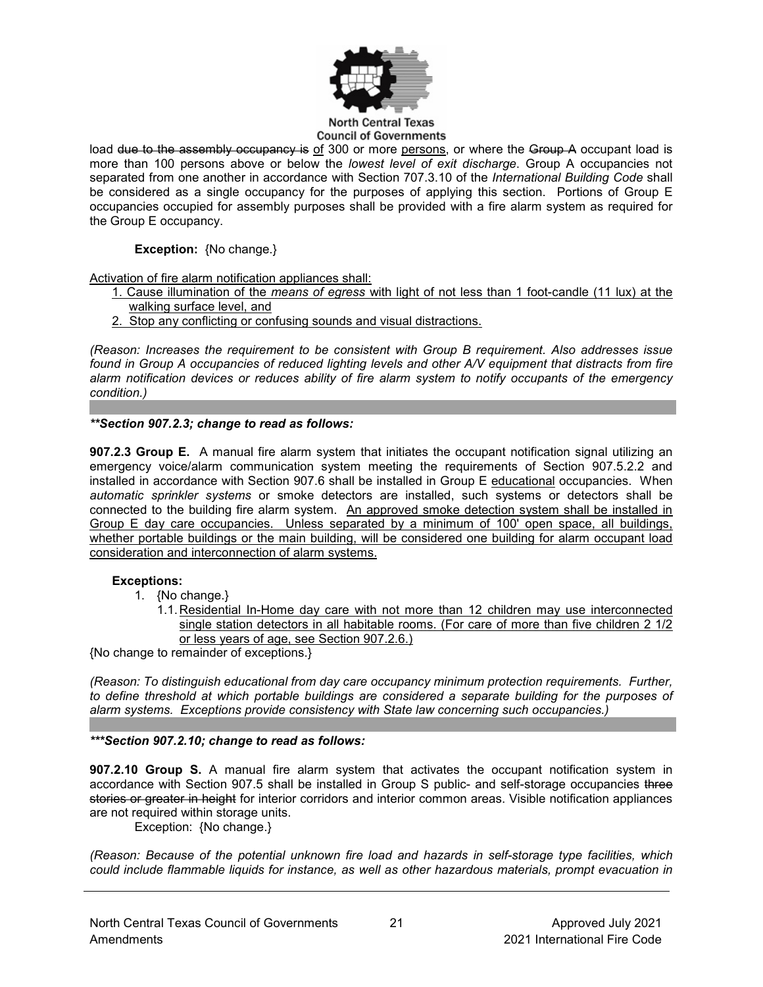

#### **North Central Texas Council of Governments**

load due to the assembly occupancy is of 300 or more persons, or where the Group A occupant load is more than 100 persons above or below the *lowest level of exit discharge*. Group A occupancies not separated from one another in accordance with Section 707.3.10 of the *International Building Code* shall be considered as a single occupancy for the purposes of applying this section. Portions of Group E occupancies occupied for assembly purposes shall be provided with a fire alarm system as required for the Group E occupancy.

**Exception:** {No change.}

Activation of fire alarm notification appliances shall:

- 1. Cause illumination of the *means of egress* with light of not less than 1 foot-candle (11 lux) at the walking surface level, and
- 2. Stop any conflicting or confusing sounds and visual distractions.

*(Reason: Increases the requirement to be consistent with Group B requirement. Also addresses issue found in Group A occupancies of reduced lighting levels and other A/V equipment that distracts from fire alarm notification devices or reduces ability of fire alarm system to notify occupants of the emergency condition.)*

*\*\*Section 907.2.3; change to read as follows:*

**907.2.3 Group E.** A manual fire alarm system that initiates the occupant notification signal utilizing an emergency voice/alarm communication system meeting the requirements of Section 907.5.2.2 and installed in accordance with Section 907.6 shall be installed in Group E educational occupancies. When *automatic sprinkler systems* or smoke detectors are installed, such systems or detectors shall be connected to the building fire alarm system. An approved smoke detection system shall be installed in Group E day care occupancies. Unless separated by a minimum of 100' open space, all buildings, whether portable buildings or the main building, will be considered one building for alarm occupant load consideration and interconnection of alarm systems.

### **Exceptions:**

- 1. {No change.}
	- 1.1. Residential In-Home day care with not more than 12 children may use interconnected single station detectors in all habitable rooms. (For care of more than five children 2 1/2 or less years of age, see Section 907.2.6.)

{No change to remainder of exceptions.}

*(Reason: To distinguish educational from day care occupancy minimum protection requirements. Further, to define threshold at which portable buildings are considered a separate building for the purposes of alarm systems. Exceptions provide consistency with State law concerning such occupancies.)*

### *\*\*\*Section 907.2.10; change to read as follows:*

**907.2.10 Group S.** A manual fire alarm system that activates the occupant notification system in accordance with Section 907.5 shall be installed in Group S public- and self-storage occupancies three stories or greater in height for interior corridors and interior common areas. Visible notification appliances are not required within storage units.

Exception: {No change.}

*(Reason: Because of the potential unknown fire load and hazards in self-storage type facilities, which could include flammable liquids for instance, as well as other hazardous materials, prompt evacuation in*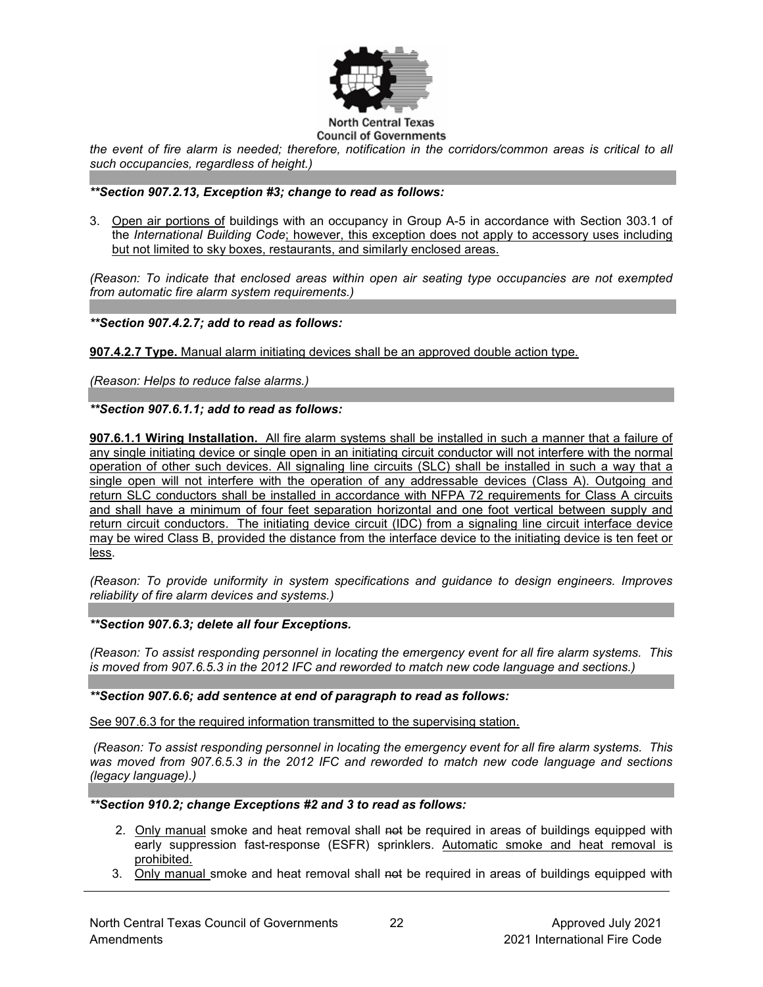

*the event of fire alarm is needed; therefore, notification in the corridors/common areas is critical to all such occupancies, regardless of height.)*

### *\*\*Section 907.2.13, Exception #3; change to read as follows:*

3. Open air portions of buildings with an occupancy in Group A-5 in accordance with Section 303.1 of the *International Building Code*; however, this exception does not apply to accessory uses including but not limited to sky boxes, restaurants, and similarly enclosed areas.

*(Reason: To indicate that enclosed areas within open air seating type occupancies are not exempted from automatic fire alarm system requirements.)*

### *\*\*Section 907.4.2.7; add to read as follows:*

**907.4.2.7 Type.** Manual alarm initiating devices shall be an approved double action type.

*(Reason: Helps to reduce false alarms.)*

### *\*\*Section 907.6.1.1; add to read as follows:*

**907.6.1.1 Wiring Installation.** All fire alarm systems shall be installed in such a manner that a failure of any single initiating device or single open in an initiating circuit conductor will not interfere with the normal operation of other such devices. All signaling line circuits (SLC) shall be installed in such a way that a single open will not interfere with the operation of any addressable devices (Class A). Outgoing and return SLC conductors shall be installed in accordance with NFPA 72 requirements for Class A circuits and shall have a minimum of four feet separation horizontal and one foot vertical between supply and return circuit conductors. The initiating device circuit (IDC) from a signaling line circuit interface device may be wired Class B, provided the distance from the interface device to the initiating device is ten feet or less.

*(Reason: To provide uniformity in system specifications and guidance to design engineers. Improves reliability of fire alarm devices and systems.)*

*\*\*Section 907.6.3; delete all four Exceptions.*

*(Reason: To assist responding personnel in locating the emergency event for all fire alarm systems. This is moved from 907.6.5.3 in the 2012 IFC and reworded to match new code language and sections.)*

*\*\*Section 907.6.6; add sentence at end of paragraph to read as follows:*

See 907.6.3 for the required information transmitted to the supervising station.

*(Reason: To assist responding personnel in locating the emergency event for all fire alarm systems. This was moved from 907.6.5.3 in the 2012 IFC and reworded to match new code language and sections (legacy language).)*

#### *\*\*Section 910.2; change Exceptions #2 and 3 to read as follows:*

- 2. Only manual smoke and heat removal shall not be required in areas of buildings equipped with early suppression fast-response (ESFR) sprinklers. Automatic smoke and heat removal is prohibited.
- 3. Only manual smoke and heat removal shall not be required in areas of buildings equipped with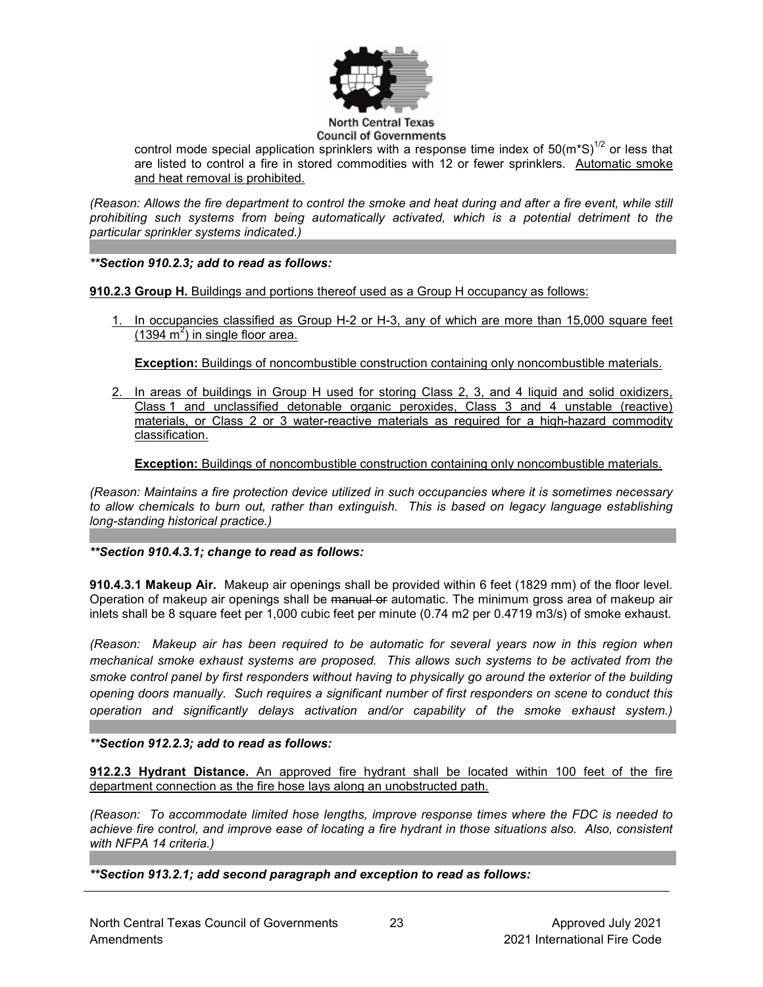

control mode special application sprinklers with a response time index of  $50(m*S)^{1/2}$  or less that are listed to control a fire in stored commodities with 12 or fewer sprinklers. Automatic smoke and heat removal is prohibited.

*(Reason: Allows the fire department to control the smoke and heat during and after a fire event, while still prohibiting such systems from being automatically activated, which is a potential detriment to the particular sprinkler systems indicated.)*

*\*\*Section 910.2.3; add to read as follows:*

**910.2.3 Group H.** Buildings and portions thereof used as a Group H occupancy as follows:

1. In occupancies classified as Group H-2 or H-3, any of which are more than 15,000 square feet  $(1394 \text{ m}^2)$  in single floor area.

**Exception:** Buildings of noncombustible construction containing only noncombustible materials.

2. In areas of buildings in Group H used for storing Class 2, 3, and 4 liquid and solid oxidizers, Class 1 and unclassified detonable organic peroxides, Class 3 and 4 unstable (reactive) materials, or Class 2 or 3 water-reactive materials as required for a high-hazard commodity classification.

**Exception:** Buildings of noncombustible construction containing only noncombustible materials.

*(Reason: Maintains a fire protection device utilized in such occupancies where it is sometimes necessary to allow chemicals to burn out, rather than extinguish. This is based on legacy language establishing long-standing historical practice.)*

### *\*\*Section 910.4.3.1; change to read as follows:*

**910.4.3.1 Makeup Air.** Makeup air openings shall be provided within 6 feet (1829 mm) of the floor level. Operation of makeup air openings shall be <del>manual or</del> automatic. The minimum gross area of makeup air inlets shall be 8 square feet per 1,000 cubic feet per minute (0.74 m2 per 0.4719 m3/s) of smoke exhaust.

*(Reason: Makeup air has been required to be automatic for several years now in this region when mechanical smoke exhaust systems are proposed. This allows such systems to be activated from the smoke control panel by first responders without having to physically go around the exterior of the building opening doors manually. Such requires a significant number of first responders on scene to conduct this operation and significantly delays activation and/or capability of the smoke exhaust system.)*

*\*\*Section 912.2.3; add to read as follows:*

**912.2.3 Hydrant Distance.** An approved fire hydrant shall be located within 100 feet of the fire department connection as the fire hose lays along an unobstructed path.

*(Reason: To accommodate limited hose lengths, improve response times where the FDC is needed to achieve fire control, and improve ease of locating a fire hydrant in those situations also. Also, consistent with NFPA 14 criteria.)*

*\*\*Section 913.2.1; add second paragraph and exception to read as follows:*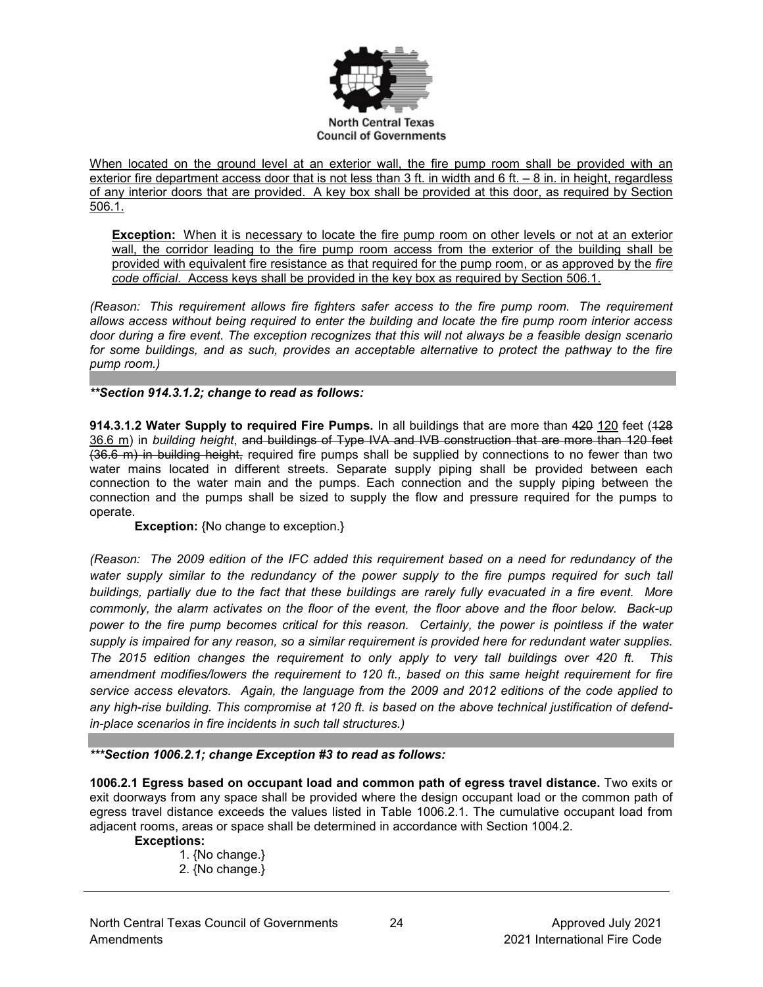

When located on the ground level at an exterior wall, the fire pump room shall be provided with an exterior fire department access door that is not less than 3 ft. in width and 6 ft. – 8 in. in height, regardless of any interior doors that are provided. A key box shall be provided at this door, as required by Section 506.1.

**Exception:** When it is necessary to locate the fire pump room on other levels or not at an exterior wall, the corridor leading to the fire pump room access from the exterior of the building shall be provided with equivalent fire resistance as that required for the pump room, or as approved by the *fire code official*. Access keys shall be provided in the key box as required by Section 506.1.

*(Reason: This requirement allows fire fighters safer access to the fire pump room. The requirement allows access without being required to enter the building and locate the fire pump room interior access door during a fire event. The exception recognizes that this will not always be a feasible design scenario for some buildings, and as such, provides an acceptable alternative to protect the pathway to the fire pump room.)* 

*\*\*Section 914.3.1.2; change to read as follows:*

**914.3.1.2 Water Supply to required Fire Pumps.** In all buildings that are more than 420 120 feet (128 36.6 m) in *building height*, and buildings of Type IVA and IVB construction that are more than 120 feet (36.6 m) in building height, required fire pumps shall be supplied by connections to no fewer than two water mains located in different streets. Separate supply piping shall be provided between each connection to the water main and the pumps. Each connection and the supply piping between the connection and the pumps shall be sized to supply the flow and pressure required for the pumps to operate.

**Exception:** {No change to exception.}

*(Reason: The 2009 edition of the IFC added this requirement based on a need for redundancy of the water supply similar to the redundancy of the power supply to the fire pumps required for such tall buildings, partially due to the fact that these buildings are rarely fully evacuated in a fire event. More commonly, the alarm activates on the floor of the event, the floor above and the floor below. Back-up power to the fire pump becomes critical for this reason. Certainly, the power is pointless if the water supply is impaired for any reason, so a similar requirement is provided here for redundant water supplies. The 2015 edition changes the requirement to only apply to very tall buildings over 420 ft. This amendment modifies/lowers the requirement to 120 ft., based on this same height requirement for fire service access elevators. Again, the language from the 2009 and 2012 editions of the code applied to any high-rise building. This compromise at 120 ft. is based on the above technical justification of defendin-place scenarios in fire incidents in such tall structures.)*

*\*\*\*Section 1006.2.1; change Exception #3 to read as follows:*

**1006.2.1 Egress based on occupant load and common path of egress travel distance.** Two exits or exit doorways from any space shall be provided where the design occupant load or the common path of egress travel distance exceeds the values listed in Table 1006.2.1. The cumulative occupant load from adjacent rooms, areas or space shall be determined in accordance with Section 1004.2.

#### **Exceptions:**

1. {No change.} 2. {No change.}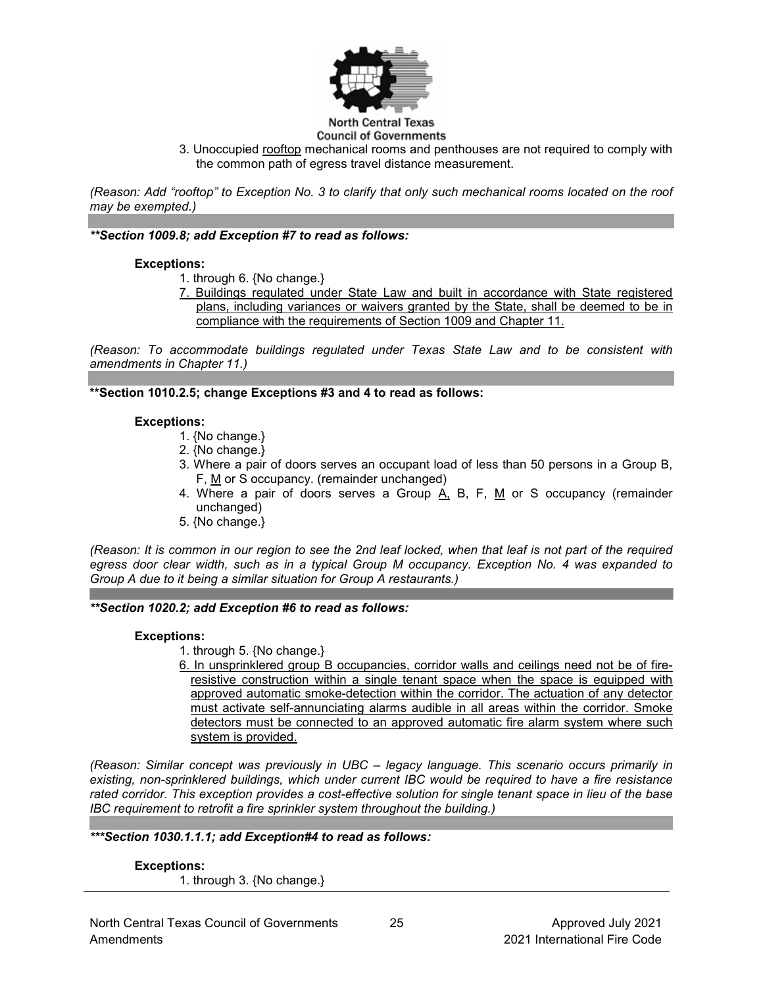

#### **North Central Texas Council of Governments**

3. Unoccupied rooftop mechanical rooms and penthouses are not required to comply with the common path of egress travel distance measurement.

*(Reason: Add "rooftop" to Exception No. 3 to clarify that only such mechanical rooms located on the roof may be exempted.)*

## *\*\*Section 1009.8; add Exception #7 to read as follows:*

### **Exceptions:**

- 1. through 6. {No change.}
- 7. Buildings regulated under State Law and built in accordance with State registered plans, including variances or waivers granted by the State, shall be deemed to be in compliance with the requirements of Section 1009 and Chapter 11.

*(Reason: To accommodate buildings regulated under Texas State Law and to be consistent with amendments in Chapter 11.)* 

**\*\*Section 1010.2.5; change Exceptions #3 and 4 to read as follows:**

### **Exceptions:**

- 1. {No change.}
- 2. {No change.}
- 3. Where a pair of doors serves an occupant load of less than 50 persons in a Group B, F, M or S occupancy. (remainder unchanged)
- 4. Where a pair of doors serves a Group  $\overline{A}$ , B, F, M or S occupancy (remainder unchanged)
- 5. {No change.}

*(Reason: It is common in our region to see the 2nd leaf locked, when that leaf is not part of the required egress door clear width, such as in a typical Group M occupancy. Exception No. 4 was expanded to Group A due to it being a similar situation for Group A restaurants.)*

### *\*\*Section 1020.2; add Exception #6 to read as follows:*

### **Exceptions:**

- 1. through 5. {No change.}
- 6. In unsprinklered group B occupancies, corridor walls and ceilings need not be of fireresistive construction within a single tenant space when the space is equipped with approved automatic smoke-detection within the corridor. The actuation of any detector must activate self-annunciating alarms audible in all areas within the corridor. Smoke detectors must be connected to an approved automatic fire alarm system where such system is provided.

*(Reason: Similar concept was previously in UBC – legacy language. This scenario occurs primarily in existing, non-sprinklered buildings, which under current IBC would be required to have a fire resistance rated corridor. This exception provides a cost-effective solution for single tenant space in lieu of the base IBC requirement to retrofit a fire sprinkler system throughout the building.)*

*\*\*\*Section 1030.1.1.1; add Exception#4 to read as follows:*

**Exceptions:** 1. through 3. {No change.}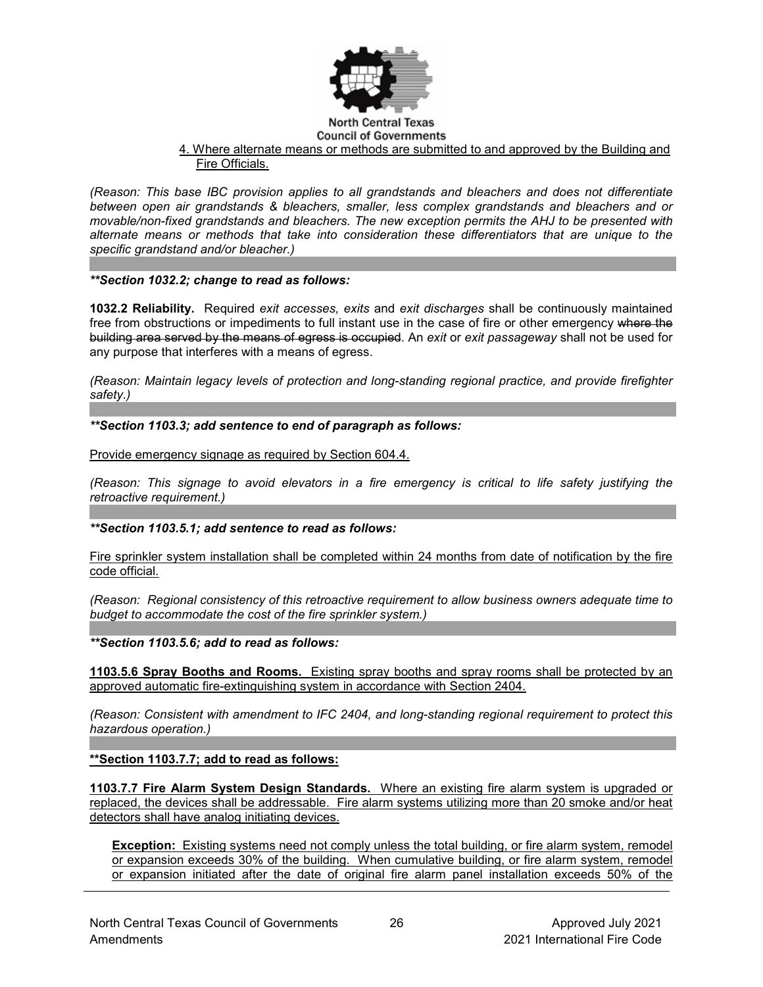

### 4. Where alternate means or methods are submitted to and approved by the Building and Fire Officials.

*(Reason: This base IBC provision applies to all grandstands and bleachers and does not differentiate between open air grandstands & bleachers, smaller, less complex grandstands and bleachers and or movable/non-fixed grandstands and bleachers. The new exception permits the AHJ to be presented with alternate means or methods that take into consideration these differentiators that are unique to the specific grandstand and/or bleacher.)*

# *\*\*Section 1032.2; change to read as follows:*

**1032.2 Reliability.** Required *exit accesses, exits* and *exit discharges* shall be continuously maintained free from obstructions or impediments to full instant use in the case of fire or other emergency where the building area served by the means of egress is occupied. An *exit* or *exit passageway* shall not be used for any purpose that interferes with a means of egress.

*(Reason: Maintain legacy levels of protection and long-standing regional practice, and provide firefighter safety.)*

*\*\*Section 1103.3; add sentence to end of paragraph as follows:*

Provide emergency signage as required by Section 604.4.

*(Reason: This signage to avoid elevators in a fire emergency is critical to life safety justifying the retroactive requirement.)*

### *\*\*Section 1103.5.1; add sentence to read as follows:*

Fire sprinkler system installation shall be completed within 24 months from date of notification by the fire code official.

*(Reason: Regional consistency of this retroactive requirement to allow business owners adequate time to budget to accommodate the cost of the fire sprinkler system.)*

*\*\*Section 1103.5.6; add to read as follows:*

**1103.5.6 Spray Booths and Rooms.** Existing spray booths and spray rooms shall be protected by an approved automatic fire-extinguishing system in accordance with Section 2404.

*(Reason: Consistent with amendment to IFC 2404, and long-standing regional requirement to protect this hazardous operation.)*

**\*\*Section 1103.7.7; add to read as follows:**

**1103.7.7 Fire Alarm System Design Standards.** Where an existing fire alarm system is upgraded or replaced, the devices shall be addressable. Fire alarm systems utilizing more than 20 smoke and/or heat detectors shall have analog initiating devices.

**Exception:** Existing systems need not comply unless the total building, or fire alarm system, remodel or expansion exceeds 30% of the building. When cumulative building, or fire alarm system, remodel or expansion initiated after the date of original fire alarm panel installation exceeds 50% of the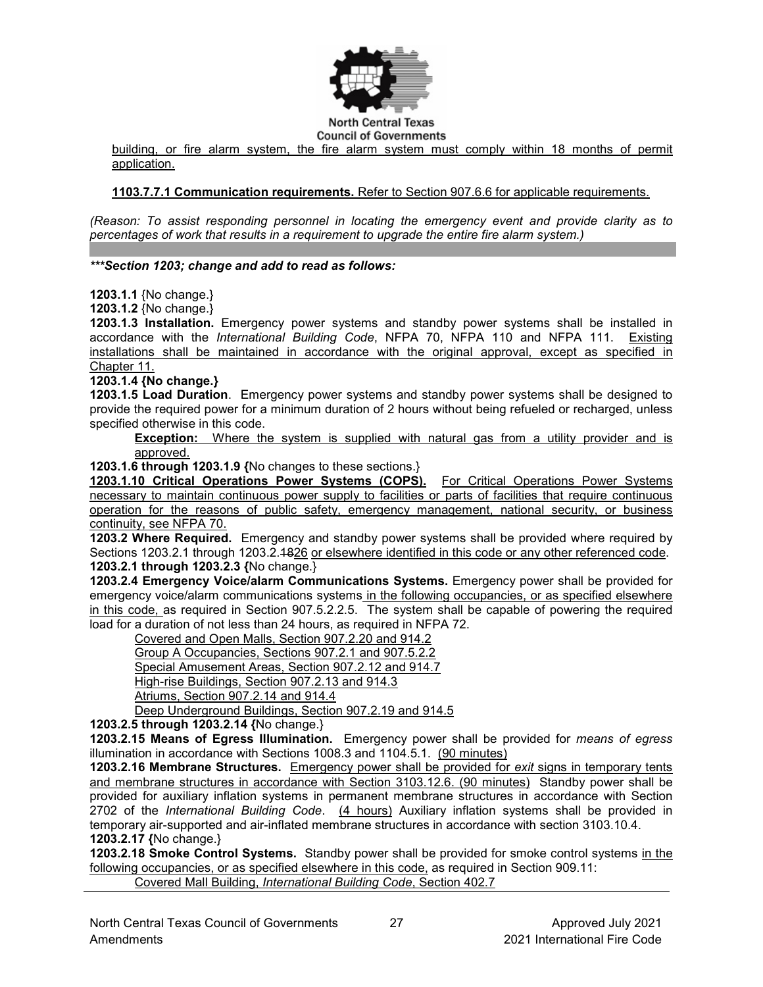

building, or fire alarm system, the fire alarm system must comply within 18 months of permit application.

## **1103.7.7.1 Communication requirements.** Refer to Section 907.6.6 for applicable requirements.

*(Reason: To assist responding personnel in locating the emergency event and provide clarity as to percentages of work that results in a requirement to upgrade the entire fire alarm system.)*

### *\*\*\*Section 1203; change and add to read as follows:*

**1203.1.1** {No change.}

**1203.1.2** {No change.}

**1203.1.3 Installation.** Emergency power systems and standby power systems shall be installed in accordance with the *International Building Code*, NFPA 70, NFPA 110 and NFPA 111. Existing installations shall be maintained in accordance with the original approval, except as specified in Chapter 11.

### **1203.1.4 {No change.}**

**1203.1.5 Load Duration**. Emergency power systems and standby power systems shall be designed to provide the required power for a minimum duration of 2 hours without being refueled or recharged, unless specified otherwise in this code.

**Exception:** Where the system is supplied with natural gas from a utility provider and is approved.

**1203.1.6 through 1203.1.9 {**No changes to these sections.}

**1203.1.10 Critical Operations Power Systems (COPS).** For Critical Operations Power Systems necessary to maintain continuous power supply to facilities or parts of facilities that require continuous operation for the reasons of public safety, emergency management, national security, or business continuity, see NFPA 70.

**1203.2 Where Required.** Emergency and standby power systems shall be provided where required by Sections 1203.2.1 through 1203.2.4826 or elsewhere identified in this code or any other referenced code. **1203.2.1 through 1203.2.3 {**No change.}

**1203.2.4 Emergency Voice/alarm Communications Systems.** Emergency power shall be provided for emergency voice/alarm communications systems in the following occupancies, or as specified elsewhere in this code, as required in Section 907.5.2.2.5. The system shall be capable of powering the required load for a duration of not less than 24 hours, as required in NFPA 72.

Covered and Open Malls, Section 907.2.20 and 914.2 Group A Occupancies, Sections 907.2.1 and 907.5.2.2 Special Amusement Areas, Section 907.2.12 and 914.7 High-rise Buildings, Section 907.2.13 and 914.3 Atriums, Section 907.2.14 and 914.4 Deep Underground Buildings, Section 907.2.19 and 914.5

**1203.2.5 through 1203.2.14 {**No change.}

**1203.2.15 Means of Egress Illumination.** Emergency power shall be provided for *means of egress* illumination in accordance with Sections 1008.3 and 1104.5.1. (90 minutes)

**1203.2.16 Membrane Structures.** Emergency power shall be provided for *exit* signs in temporary tents and membrane structures in accordance with Section 3103.12.6. (90 minutes) Standby power shall be provided for auxiliary inflation systems in permanent membrane structures in accordance with Section 2702 of the *International Building Code*. (4 hours) Auxiliary inflation systems shall be provided in temporary air-supported and air-inflated membrane structures in accordance with section 3103.10.4. **1203.2.17 {**No change.}

**1203.2.18 Smoke Control Systems.** Standby power shall be provided for smoke control systems in the following occupancies, or as specified elsewhere in this code, as required in Section 909.11:

Covered Mall Building, *International Building Code*, Section 402.7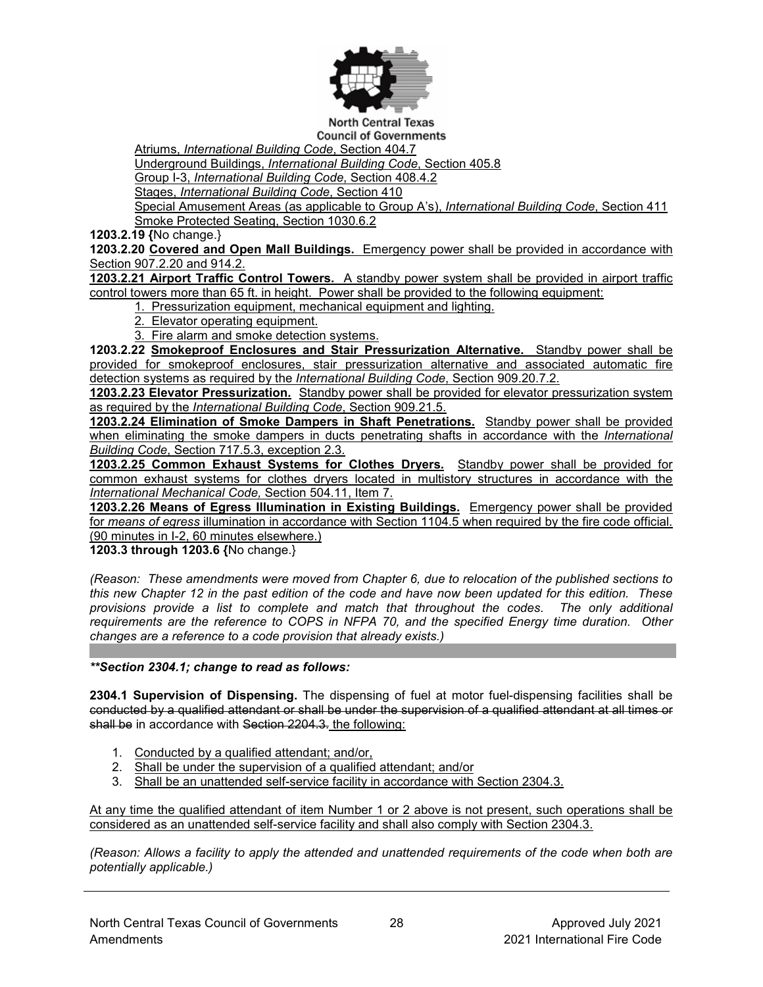

**North Central Texas Council of Governments** 

Atriums, *International Building Code*, Section 404.7

Underground Buildings, *International Building Code*, Section 405.8

Group I-3, *International Building Code*, Section 408.4.2

Stages, *International Building Code*, Section 410

Special Amusement Areas (as applicable to Group A's), *International Building Code*, Section 411 Smoke Protected Seating, Section 1030.6.2

**1203.2.19 {**No change.}

**1203.2.20 Covered and Open Mall Buildings.** Emergency power shall be provided in accordance with Section 907.2.20 and 914.2.

**1203.2.21 Airport Traffic Control Towers.** A standby power system shall be provided in airport traffic control towers more than 65 ft. in height. Power shall be provided to the following equipment:

1. Pressurization equipment, mechanical equipment and lighting.

- 2. Elevator operating equipment.
- 3. Fire alarm and smoke detection systems.

**1203.2.22 Smokeproof Enclosures and Stair Pressurization Alternative.** Standby power shall be provided for smokeproof enclosures, stair pressurization alternative and associated automatic fire detection systems as required by the *International Building Code*, Section 909.20.7.2.

**1203.2.23 Elevator Pressurization.** Standby power shall be provided for elevator pressurization system as required by the *International Building Code*, Section 909.21.5.

**1203.2.24 Elimination of Smoke Dampers in Shaft Penetrations.** Standby power shall be provided when eliminating the smoke dampers in ducts penetrating shafts in accordance with the *International Building Code*, Section 717.5.3, exception 2.3.

**1203.2.25 Common Exhaust Systems for Clothes Dryers.** Standby power shall be provided for common exhaust systems for clothes dryers located in multistory structures in accordance with the *International Mechanical Code,* Section 504.11, Item 7.

**1203.2.26 Means of Egress Illumination in Existing Buildings.** Emergency power shall be provided for *means of egress* illumination in accordance with Section 1104.5 when required by the fire code official. (90 minutes in I-2, 60 minutes elsewhere.)

**1203.3 through 1203.6 {**No change.}

*(Reason: These amendments were moved from Chapter 6, due to relocation of the published sections to this new Chapter 12 in the past edition of the code and have now been updated for this edition. These provisions provide a list to complete and match that throughout the codes. The only additional requirements are the reference to COPS in NFPA 70, and the specified Energy time duration. Other changes are a reference to a code provision that already exists.)*

*\*\*Section 2304.1; change to read as follows:*

**2304.1 Supervision of Dispensing.** The dispensing of fuel at motor fuel-dispensing facilities shall be conducted by a qualified attendant or shall be under the supervision of a qualified attendant at all times or shall be in accordance with Section 2204.3. the following:

- 1. Conducted by a qualified attendant; and/or,
- 2. Shall be under the supervision of a qualified attendant; and/or
- 3. Shall be an unattended self-service facility in accordance with Section 2304.3.

At any time the qualified attendant of item Number 1 or 2 above is not present, such operations shall be considered as an unattended self-service facility and shall also comply with Section 2304.3.

*(Reason: Allows a facility to apply the attended and unattended requirements of the code when both are potentially applicable.)*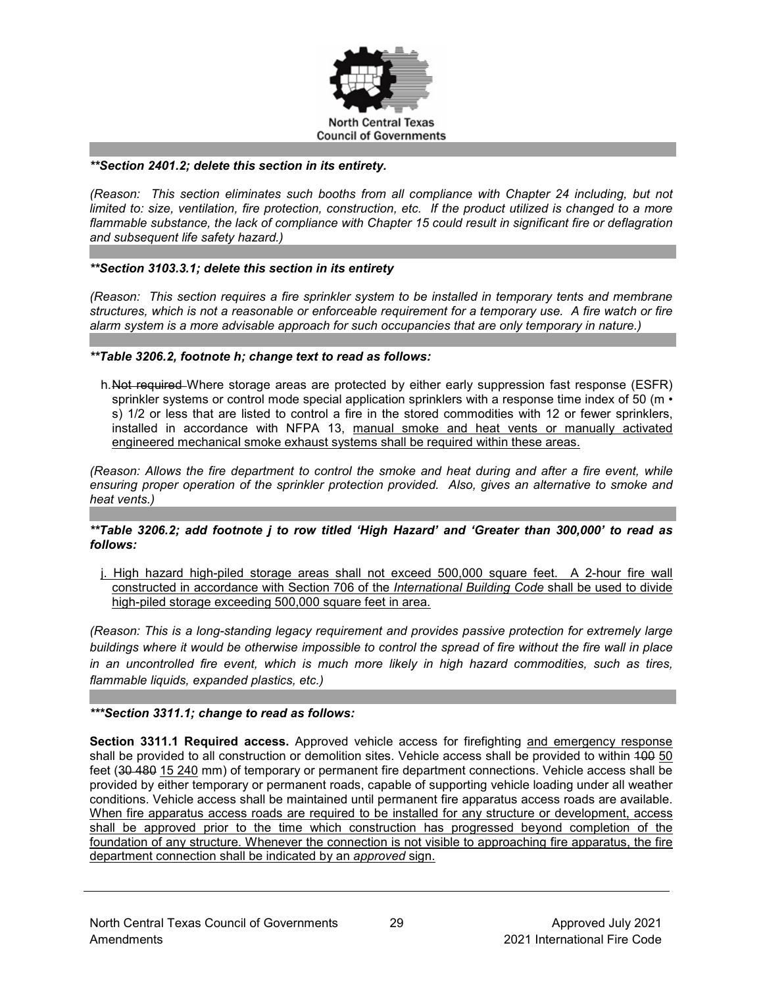

#### *\*\*Section 2401.2; delete this section in its entirety.*

*(Reason: This section eliminates such booths from all compliance with Chapter 24 including, but not limited to: size, ventilation, fire protection, construction, etc. If the product utilized is changed to a more flammable substance, the lack of compliance with Chapter 15 could result in significant fire or deflagration and subsequent life safety hazard.)*

### *\*\*Section 3103.3.1; delete this section in its entirety*

*(Reason: This section requires a fire sprinkler system to be installed in temporary tents and membrane structures, which is not a reasonable or enforceable requirement for a temporary use. A fire watch or fire alarm system is a more advisable approach for such occupancies that are only temporary in nature.)*

### *\*\*Table 3206.2, footnote h; change text to read as follows:*

h. Not required Where storage areas are protected by either early suppression fast response (ESFR) sprinkler systems or control mode special application sprinklers with a response time index of 50 (m  $\cdot$ s) 1/2 or less that are listed to control a fire in the stored commodities with 12 or fewer sprinklers, installed in accordance with NFPA 13, manual smoke and heat vents or manually activated engineered mechanical smoke exhaust systems shall be required within these areas.

*(Reason: Allows the fire department to control the smoke and heat during and after a fire event, while ensuring proper operation of the sprinkler protection provided. Also, gives an alternative to smoke and heat vents.)*

### *\*\*Table 3206.2; add footnote j to row titled 'High Hazard' and 'Greater than 300,000' to read as follows:*

j. High hazard high-piled storage areas shall not exceed 500,000 square feet. A 2-hour fire wall constructed in accordance with Section 706 of the *International Building Code* shall be used to divide high-piled storage exceeding 500,000 square feet in area.

*(Reason: This is a long-standing legacy requirement and provides passive protection for extremely large buildings where it would be otherwise impossible to control the spread of fire without the fire wall in place in an uncontrolled fire event, which is much more likely in high hazard commodities, such as tires, flammable liquids, expanded plastics, etc.)*

#### *\*\*\*Section 3311.1; change to read as follows:*

**Section 3311.1 Required access.** Approved vehicle access for firefighting and emergency response shall be provided to all construction or demolition sites. Vehicle access shall be provided to within 400 50 feet (30 480 15 240 mm) of temporary or permanent fire department connections. Vehicle access shall be provided by either temporary or permanent roads, capable of supporting vehicle loading under all weather conditions. Vehicle access shall be maintained until permanent fire apparatus access roads are available. When fire apparatus access roads are required to be installed for any structure or development, access shall be approved prior to the time which construction has progressed beyond completion of the foundation of any structure. Whenever the connection is not visible to approaching fire apparatus, the fire department connection shall be indicated by an *approved* sign.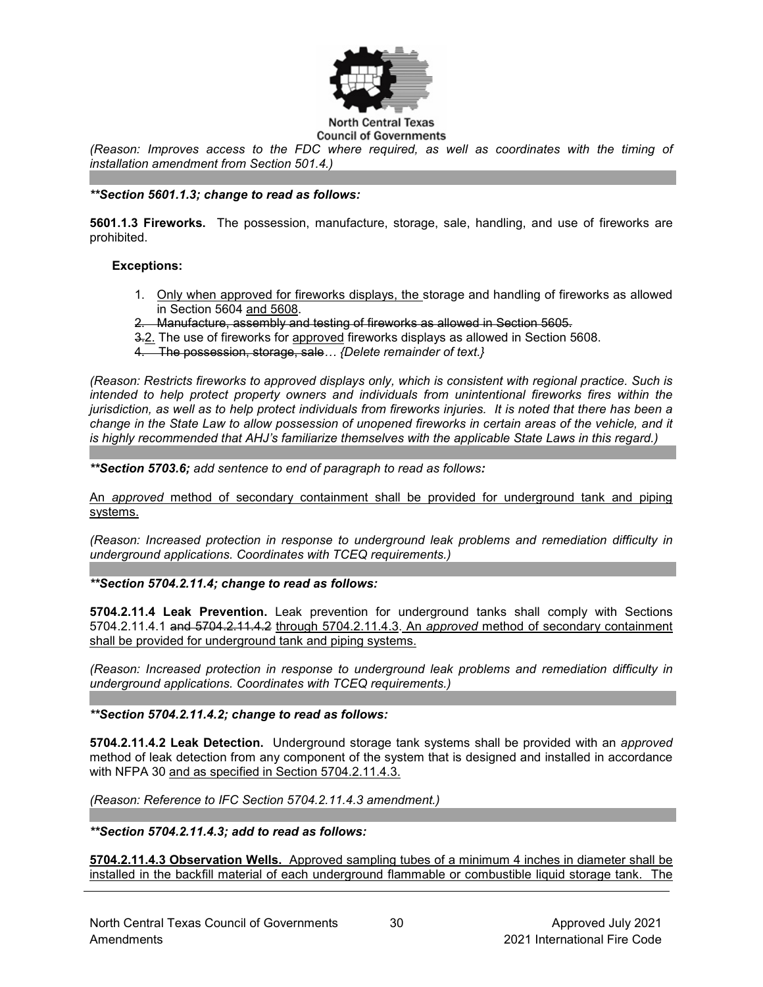

*(Reason: Improves access to the FDC where required, as well as coordinates with the timing of installation amendment from Section 501.4.)*

### *\*\*Section 5601.1.3; change to read as follows:*

**5601.1.3 Fireworks.** The possession, manufacture, storage, sale, handling, and use of fireworks are prohibited.

### **Exceptions:**

- 1. Only when approved for fireworks displays, the storage and handling of fireworks as allowed in Section 5604 and 5608.
- 2. Manufacture, assembly and testing of fireworks as allowed in Section 5605.
- 3.2. The use of fireworks for approved fireworks displays as allowed in Section 5608.
- 4. The possession, storage, sale*… {Delete remainder of text.}*

*(Reason: Restricts fireworks to approved displays only, which is consistent with regional practice. Such is intended to help protect property owners and individuals from unintentional fireworks fires within the jurisdiction, as well as to help protect individuals from fireworks injuries. It is noted that there has been a change in the State Law to allow possession of unopened fireworks in certain areas of the vehicle, and it is highly recommended that AHJ's familiarize themselves with the applicable State Laws in this regard.)*

*\*\*Section 5703.6; add sentence to end of paragraph to read as follows:*

An *approved* method of secondary containment shall be provided for underground tank and piping systems.

*(Reason: Increased protection in response to underground leak problems and remediation difficulty in underground applications. Coordinates with TCEQ requirements.)*

*\*\*Section 5704.2.11.4; change to read as follows:*

**5704.2.11.4 Leak Prevention.** Leak prevention for underground tanks shall comply with Sections 5704.2.11.4.1 and 5704.2.11.4.2 through 5704.2.11.4.3. An *approved* method of secondary containment shall be provided for underground tank and piping systems.

*(Reason: Increased protection in response to underground leak problems and remediation difficulty in underground applications. Coordinates with TCEQ requirements.)*

#### *\*\*Section 5704.2.11.4.2; change to read as follows:*

**5704.2.11.4.2 Leak Detection.** Underground storage tank systems shall be provided with an *approved* method of leak detection from any component of the system that is designed and installed in accordance with NFPA 30 and as specified in Section 5704.2.11.4.3.

*(Reason: Reference to IFC Section 5704.2.11.4.3 amendment.)*

*\*\*Section 5704.2.11.4.3; add to read as follows:*

**5704.2.11.4.3 Observation Wells.** Approved sampling tubes of a minimum 4 inches in diameter shall be installed in the backfill material of each underground flammable or combustible liquid storage tank. The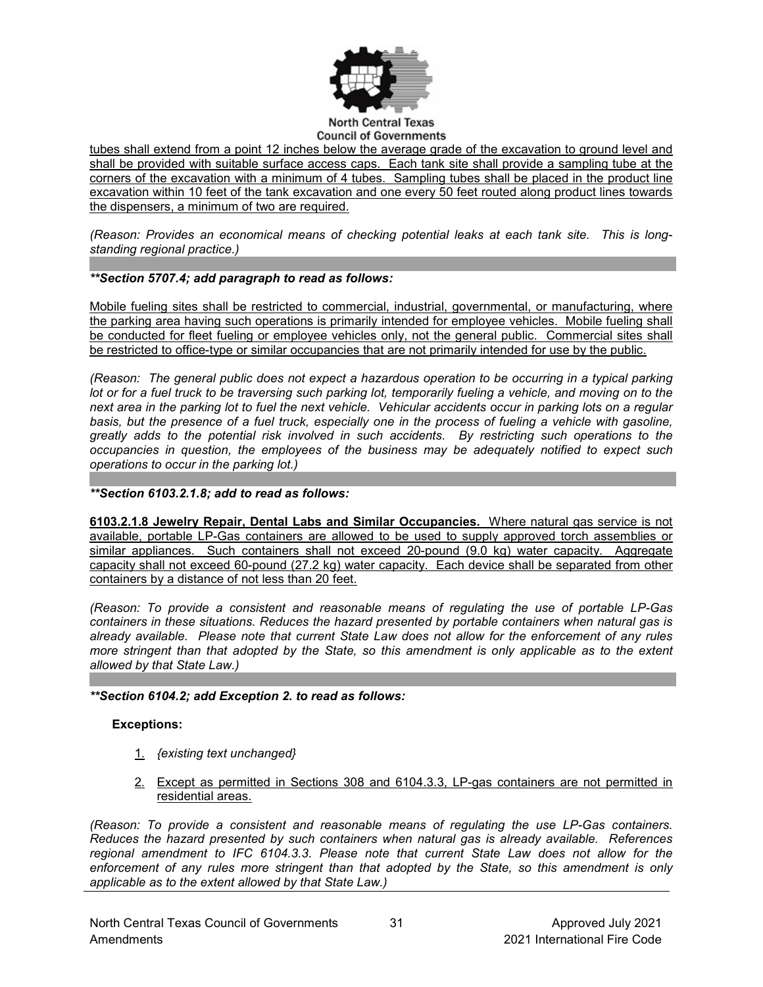

#### **North Central Texas Council of Governments**

tubes shall extend from a point 12 inches below the average grade of the excavation to ground level and shall be provided with suitable surface access caps. Each tank site shall provide a sampling tube at the corners of the excavation with a minimum of 4 tubes. Sampling tubes shall be placed in the product line excavation within 10 feet of the tank excavation and one every 50 feet routed along product lines towards the dispensers, a minimum of two are required.

*(Reason: Provides an economical means of checking potential leaks at each tank site. This is longstanding regional practice.)*

### *\*\*Section 5707.4; add paragraph to read as follows:*

Mobile fueling sites shall be restricted to commercial, industrial, governmental, or manufacturing, where the parking area having such operations is primarily intended for employee vehicles. Mobile fueling shall be conducted for fleet fueling or employee vehicles only, not the general public. Commercial sites shall be restricted to office-type or similar occupancies that are not primarily intended for use by the public.

*(Reason: The general public does not expect a hazardous operation to be occurring in a typical parking lot or for a fuel truck to be traversing such parking lot, temporarily fueling a vehicle, and moving on to the next area in the parking lot to fuel the next vehicle. Vehicular accidents occur in parking lots on a regular*  basis, but the presence of a fuel truck, especially one in the process of fueling a vehicle with gasoline, *greatly adds to the potential risk involved in such accidents. By restricting such operations to the occupancies in question, the employees of the business may be adequately notified to expect such operations to occur in the parking lot.)*

### *\*\*Section 6103.2.1.8; add to read as follows:*

**6103.2.1.8 Jewelry Repair, Dental Labs and Similar Occupancies.** Where natural gas service is not available, portable LP-Gas containers are allowed to be used to supply approved torch assemblies or similar appliances. Such containers shall not exceed 20-pound (9.0 kg) water capacity. Aggregate capacity shall not exceed 60-pound (27.2 kg) water capacity. Each device shall be separated from other containers by a distance of not less than 20 feet.

*(Reason: To provide a consistent and reasonable means of regulating the use of portable LP-Gas containers in these situations. Reduces the hazard presented by portable containers when natural gas is already available. Please note that current State Law does not allow for the enforcement of any rules more stringent than that adopted by the State, so this amendment is only applicable as to the extent allowed by that State Law.)*

### *\*\*Section 6104.2; add Exception 2. to read as follows:*

### **Exceptions:**

- 1. *{existing text unchanged}*
- 2. Except as permitted in Sections 308 and 6104.3.3, LP-gas containers are not permitted in residential areas.

*(Reason: To provide a consistent and reasonable means of regulating the use LP-Gas containers. Reduces the hazard presented by such containers when natural gas is already available. References regional amendment to IFC 6104.3.3. Please note that current State Law does not allow for the enforcement of any rules more stringent than that adopted by the State, so this amendment is only applicable as to the extent allowed by that State Law.)*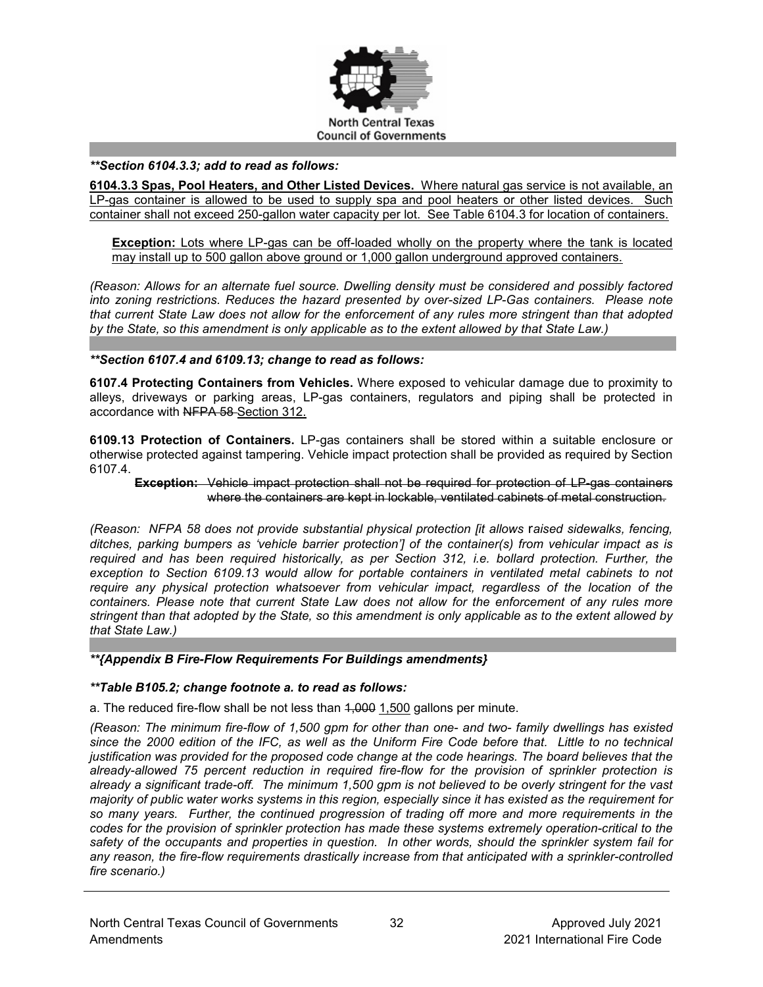

#### *\*\*Section 6104.3.3; add to read as follows:*

**6104.3.3 Spas, Pool Heaters, and Other Listed Devices.** Where natural gas service is not available, an LP-gas container is allowed to be used to supply spa and pool heaters or other listed devices. Such container shall not exceed 250-gallon water capacity per lot. See Table 6104.3 for location of containers.

**Exception:** Lots where LP-gas can be off-loaded wholly on the property where the tank is located may install up to 500 gallon above ground or 1,000 gallon underground approved containers.

*(Reason: Allows for an alternate fuel source. Dwelling density must be considered and possibly factored into zoning restrictions. Reduces the hazard presented by over-sized LP-Gas containers. Please note that current State Law does not allow for the enforcement of any rules more stringent than that adopted by the State, so this amendment is only applicable as to the extent allowed by that State Law.)*

### *\*\*Section 6107.4 and 6109.13; change to read as follows:*

**6107.4 Protecting Containers from Vehicles.** Where exposed to vehicular damage due to proximity to alleys, driveways or parking areas, LP-gas containers, regulators and piping shall be protected in accordance with NFPA 58 Section 312.

**6109.13 Protection of Containers.** LP-gas containers shall be stored within a suitable enclosure or otherwise protected against tampering. Vehicle impact protection shall be provided as required by Section 6107.4.

**Exception:** Vehicle impact protection shall not be required for protection of LP-gas containers where the containers are kept in lockable, ventilated cabinets of metal construction.

*(Reason: NFPA 58 does not provide substantial physical protection [it allows* r*aised sidewalks, fencing, ditches, parking bumpers as 'vehicle barrier protection'] of the container(s) from vehicular impact as is required and has been required historically, as per Section 312, i.e. bollard protection. Further, the exception to Section 6109.13 would allow for portable containers in ventilated metal cabinets to not require any physical protection whatsoever from vehicular impact, regardless of the location of the containers. Please note that current State Law does not allow for the enforcement of any rules more stringent than that adopted by the State, so this amendment is only applicable as to the extent allowed by that State Law.)*

#### *\*\*{Appendix B Fire-Flow Requirements For Buildings amendments}*

#### *\*\*Table B105.2; change footnote a. to read as follows:*

a. The reduced fire-flow shall be not less than 4,000 1,500 gallons per minute.

*(Reason: The minimum fire-flow of 1,500 gpm for other than one- and two- family dwellings has existed since the 2000 edition of the IFC, as well as the Uniform Fire Code before that. Little to no technical justification was provided for the proposed code change at the code hearings. The board believes that the already-allowed 75 percent reduction in required fire-flow for the provision of sprinkler protection is already a significant trade-off. The minimum 1,500 gpm is not believed to be overly stringent for the vast majority of public water works systems in this region, especially since it has existed as the requirement for so many years. Further, the continued progression of trading off more and more requirements in the codes for the provision of sprinkler protection has made these systems extremely operation-critical to the safety of the occupants and properties in question. In other words, should the sprinkler system fail for any reason, the fire-flow requirements drastically increase from that anticipated with a sprinkler-controlled fire scenario.)*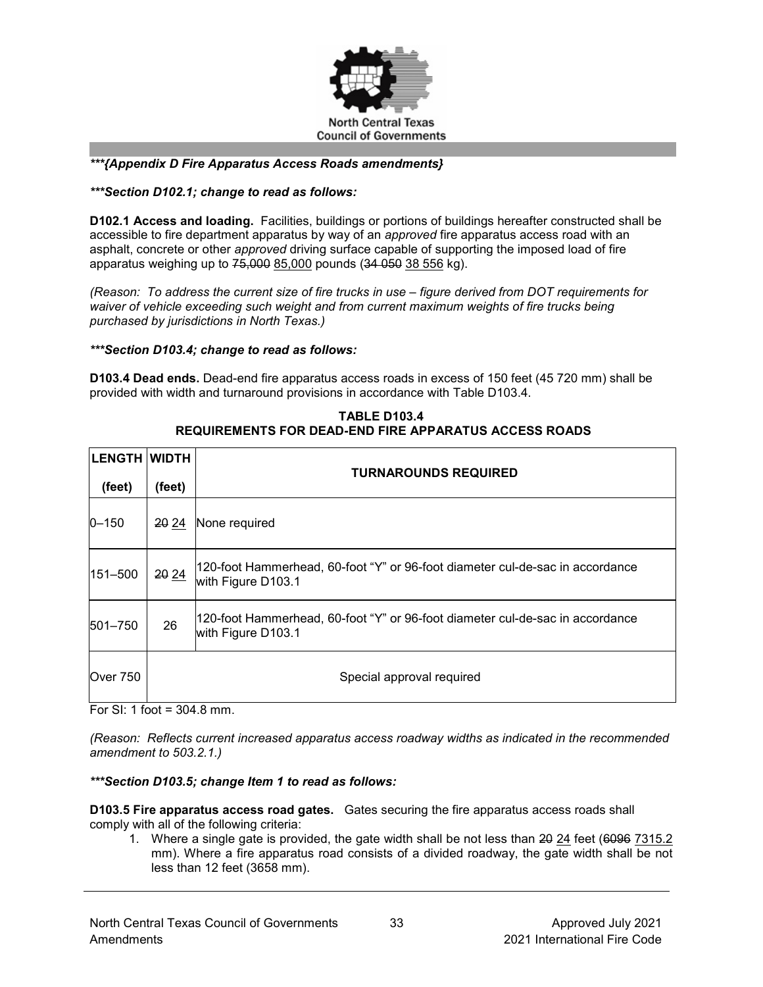

## *\*\*\*{Appendix D Fire Apparatus Access Roads amendments}*

### *\*\*\*Section D102.1; change to read as follows:*

**D102.1 Access and loading.** Facilities, buildings or portions of buildings hereafter constructed shall be accessible to fire department apparatus by way of an *approved* fire apparatus access road with an asphalt, concrete or other *approved* driving surface capable of supporting the imposed load of fire apparatus weighing up to 75,000 85,000 pounds (34 050 38 556 kg).

*(Reason: To address the current size of fire trucks in use – figure derived from DOT requirements for waiver of vehicle exceeding such weight and from current maximum weights of fire trucks being purchased by jurisdictions in North Texas.)*

### *\*\*\*Section D103.4; change to read as follows:*

**D103.4 Dead ends.** Dead-end fire apparatus access roads in excess of 150 feet (45 720 mm) shall be provided with width and turnaround provisions in accordance with [Table D103.4.](https://codes.iccsafe.org/lookup/IFC2021P1_Pt07_AppxD_SecD103.4_TblD103.4)

| <b>LENGTH WIDTH</b> |        | <b>TURNAROUNDS REQUIRED</b>                                                                         |
|---------------------|--------|-----------------------------------------------------------------------------------------------------|
| (feet)              | (feet) |                                                                                                     |
| $0 - 150$           | 20 24  | None required                                                                                       |
| 151-500             | 20 24  | 120-foot Hammerhead, 60-foot "Y" or 96-foot diameter cul-de-sac in accordance<br>with Figure D103.1 |
| 501-750             | 26     | 120-foot Hammerhead, 60-foot "Y" or 96-foot diameter cul-de-sac in accordance<br>with Figure D103.1 |
| Over 750            |        | Special approval required                                                                           |

**TABLE D103.4 REQUIREMENTS FOR DEAD-END FIRE APPARATUS ACCESS ROADS**

For SI: 1 foot = 304.8 mm.

*(Reason: Reflects current increased apparatus access roadway widths as indicated in the recommended amendment to 503.2.1.)* 

#### *\*\*\*Section D103.5; change Item 1 to read as follows:*

**D103.5 Fire apparatus access road gates.** Gates securing the fire apparatus access roads shall comply with all of the following criteria:

1. Where a single gate is provided, the gate width shall be not less than 20 24 feet (6096 7315.2) mm). Where a fire apparatus road consists of a divided roadway, the gate width shall be not less than 12 feet (3658 mm).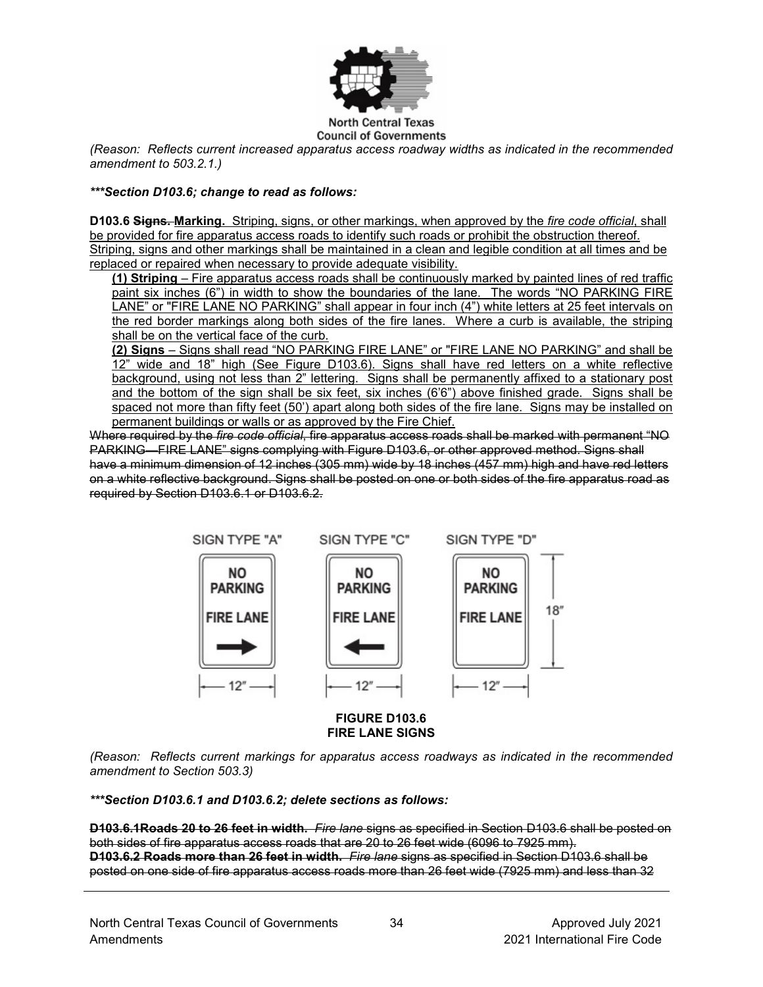

*(Reason: Reflects current increased apparatus access roadway widths as indicated in the recommended amendment to 503.2.1.)*

### *\*\*\*Section D103.6; change to read as follows:*

**D103.6 Signs. Marking.** Striping, signs, or other markings, when approved by the *fire code official*, shall be provided for fire apparatus access roads to identify such roads or prohibit the obstruction thereof. Striping, signs and other markings shall be maintained in a clean and legible condition at all times and be replaced or repaired when necessary to provide adequate visibility.

**(1) Striping** – Fire apparatus access roads shall be continuously marked by painted lines of red traffic paint six inches (6") in width to show the boundaries of the lane. The words "NO PARKING FIRE LANE" or "FIRE LANE NO PARKING" shall appear in four inch (4") white letters at 25 feet intervals on the red border markings along both sides of the fire lanes. Where a curb is available, the striping shall be on the vertical face of the curb.

**(2) Signs** – Signs shall read "NO PARKING FIRE LANE" or "FIRE LANE NO PARKING" and shall be 12" wide and 18" high (See Figure D103.6). Signs shall have red letters on a white reflective background, using not less than 2" lettering. Signs shall be permanently affixed to a stationary post and the bottom of the sign shall be six feet, six inches (6'6") above finished grade. Signs shall be spaced not more than fifty feet (50') apart along both sides of the fire lane. Signs may be installed on permanent buildings or walls or as approved by the Fire Chief.

Where required by the *fire code official*, fire apparatus access roads shall be marked with permanent "NO PARKING—FIRE LANE" signs complying with [Figure D103.6,](https://codes.iccsafe.org/lookup/IFC2021P1_Pt07_AppxD_SecD103.6_FigD103.6) or other approved method. Signs shall have a minimum dimension of 12 inches (305 mm) wide by 18 inches (457 mm) high and have red letters on a white reflective background. Signs shall be posted on one or both sides of the fire apparatus road as required by [Section D103.6.1](https://codes.iccsafe.org/lookup/IFC2021P1_Pt07_AppxD_SecD103.6.1) or [D103.6.2.](https://codes.iccsafe.org/lookup/IFC2021P1_Pt07_AppxD_SecD103.6.2)



**FIRE LANE SIGNS**

*(Reason: Reflects current markings for apparatus access roadways as indicated in the recommended amendment to Section 503.3)*

*\*\*\*Section D103.6.1 and D103.6.2; delete sections as follows:*

**D103.6.1Roads 20 to 26 feet in width.** *Fire lane* signs as specified in [Section D103.6](https://codes.iccsafe.org/lookup/IFC2021P1_Pt07_AppxD_SecD103.6) shall be posted on both sides of fire apparatus access roads that are 20 to 26 feet wide (6096 to 7925 mm). **D103.6.2 Roads more than 26 feet in width.** *Fire lane* signs as specified in [Section D103.6](https://codes.iccsafe.org/lookup/IFC2021P1_Pt07_AppxD_SecD103.6) shall be posted on one side of fire apparatus access roads more than 26 feet wide (7925 mm) and less than 32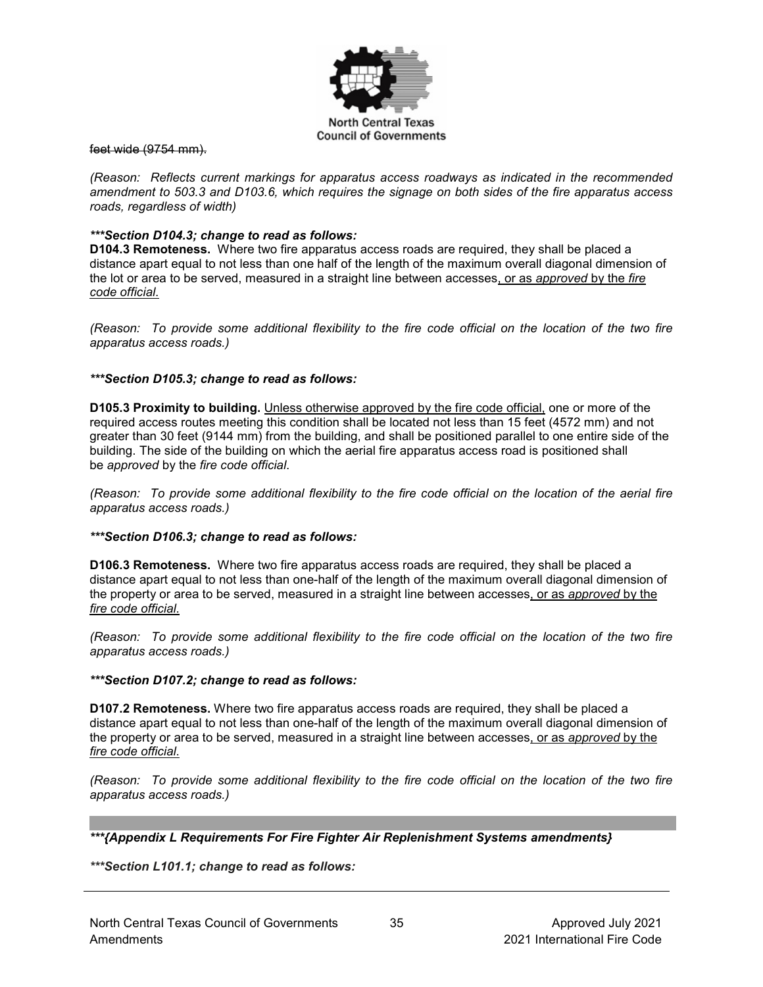

feet wide (9754 mm).

*(Reason: Reflects current markings for apparatus access roadways as indicated in the recommended amendment to 503.3 and D103.6, which requires the signage on both sides of the fire apparatus access roads, regardless of width)*

### *\*\*\*Section D104.3; change to read as follows:*

**D104.3 Remoteness.** Where two fire apparatus access roads are required, they shall be placed a distance apart equal to not less than one half of the length of the maximum overall diagonal dimension of the lot or area to be served, measured in a straight line between accesses, or as *approved* by the *fire code official*.

*(Reason: To provide some additional flexibility to the fire code official on the location of the two fire apparatus access roads.)*

### *\*\*\*Section D105.3; change to read as follows:*

**D105.3 Proximity to building.** Unless otherwise approved by the fire code official, one or more of the required access routes meeting this condition shall be located not less than 15 feet (4572 mm) and not greater than 30 feet (9144 mm) from the building, and shall be positioned parallel to one entire side of the building. The side of the building on which the aerial fire apparatus access road is positioned shall be *approved* by the *fire code official*.

*(Reason: To provide some additional flexibility to the fire code official on the location of the aerial fire apparatus access roads.)*

#### *\*\*\*Section D106.3; change to read as follows:*

**D106.3 Remoteness.** Where two fire apparatus access roads are required, they shall be placed a distance apart equal to not less than one-half of the length of the maximum overall diagonal dimension of the property or area to be served, measured in a straight line between accesses, or as *approved* by the *fire code official*.

*(Reason: To provide some additional flexibility to the fire code official on the location of the two fire apparatus access roads.)*

#### *\*\*\*Section D107.2; change to read as follows:*

**D107.2 Remoteness.** Where two fire apparatus access roads are required, they shall be placed a distance apart equal to not less than one-half of the length of the maximum overall diagonal dimension of the property or area to be served, measured in a straight line between accesses, or as *approved* by the *fire code official*.

*(Reason: To provide some additional flexibility to the fire code official on the location of the two fire apparatus access roads.)*

*\*\*\*{Appendix L Requirements For Fire Fighter Air Replenishment Systems amendments}*

*\*\*\*Section L101.1; change to read as follows:*